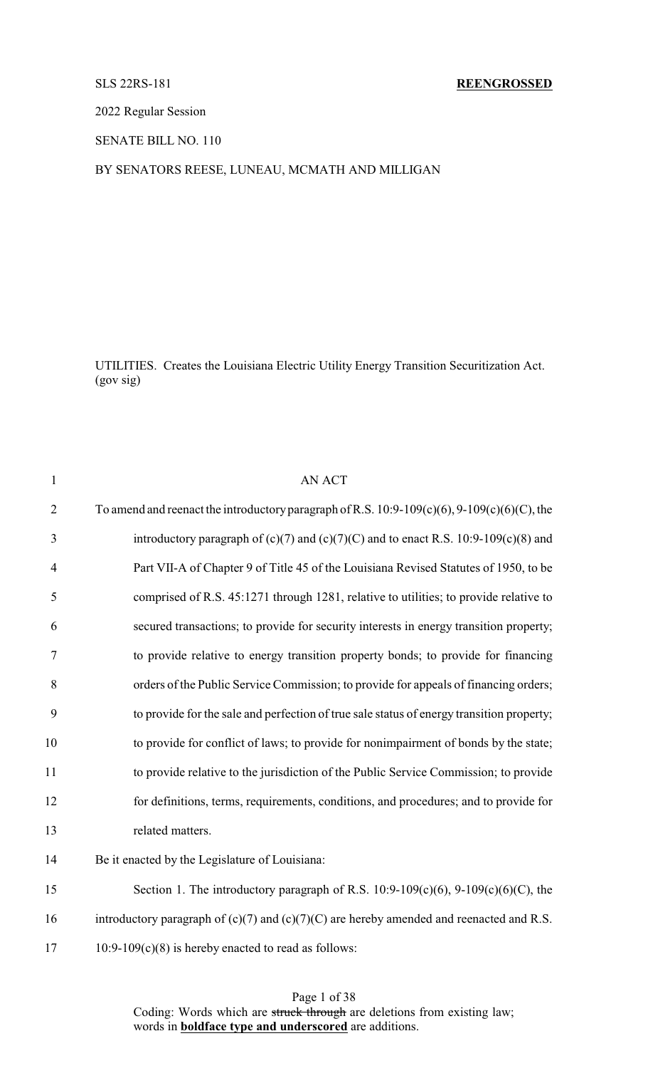### SLS 22RS-181 **REENGROSSED**

2022 Regular Session

SENATE BILL NO. 110

### BY SENATORS REESE, LUNEAU, MCMATH AND MILLIGAN

UTILITIES. Creates the Louisiana Electric Utility Energy Transition Securitization Act. (gov sig)

| $\mathbf{1}$   | <b>AN ACT</b>                                                                                     |
|----------------|---------------------------------------------------------------------------------------------------|
| $\overline{2}$ | To amend and reenact the introductory paragraph of R.S. $10:9-109(c)(6)$ , $9-109(c)(6)(C)$ , the |
| 3              | introductory paragraph of $(c)(7)$ and $(c)(7)(C)$ and to enact R.S. 10:9-109 $(c)(8)$ and        |
| $\overline{4}$ | Part VII-A of Chapter 9 of Title 45 of the Louisiana Revised Statutes of 1950, to be              |
| 5              | comprised of R.S. 45:1271 through 1281, relative to utilities; to provide relative to             |
| 6              | secured transactions; to provide for security interests in energy transition property;            |
| 7              | to provide relative to energy transition property bonds; to provide for financing                 |
| 8              | orders of the Public Service Commission; to provide for appeals of financing orders;              |
| 9              | to provide for the sale and perfection of true sale status of energy transition property;         |
| 10             | to provide for conflict of laws; to provide for nonimpairment of bonds by the state;              |
| 11             | to provide relative to the jurisdiction of the Public Service Commission; to provide              |
| 12             | for definitions, terms, requirements, conditions, and procedures; and to provide for              |
| 13             | related matters.                                                                                  |
| 14             | Be it enacted by the Legislature of Louisiana:                                                    |
| 15             | Section 1. The introductory paragraph of R.S. $10:9-109(c)(6)$ , $9-109(c)(6)(C)$ , the           |
| 16             | introductory paragraph of $(c)(7)$ and $(c)(7)(C)$ are hereby amended and reenacted and R.S.      |
| 17             | $10:9-109(c)(8)$ is hereby enacted to read as follows:                                            |
|                |                                                                                                   |

Page 1 of 38 Coding: Words which are struck through are deletions from existing law; words in **boldface type and underscored** are additions.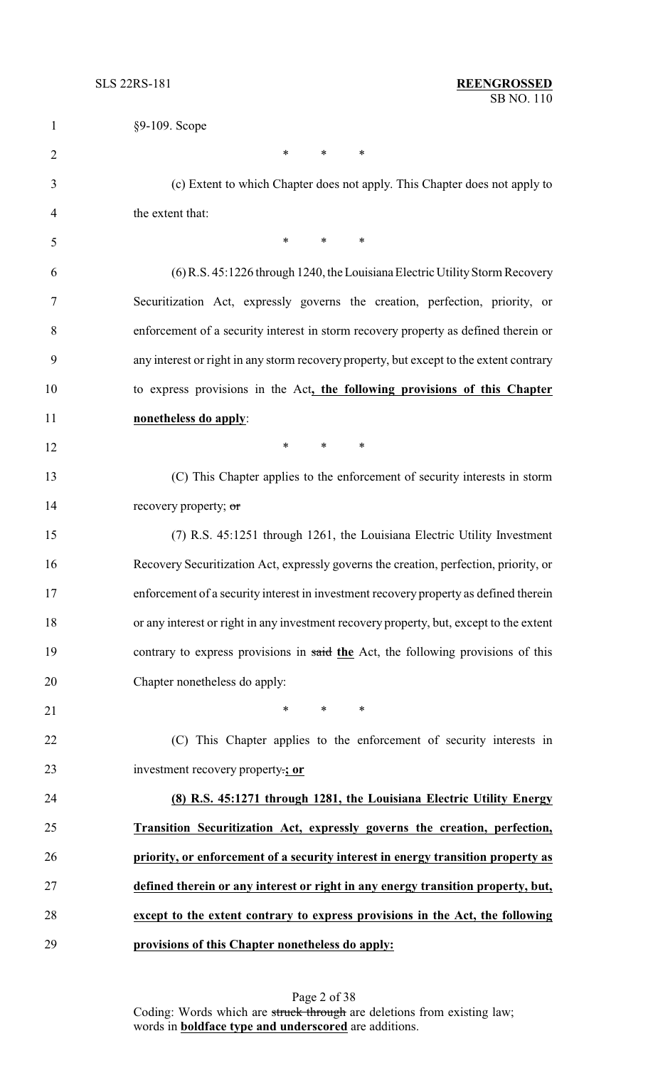| $\mathbf{1}$   | §9-109. Scope                                                                           |
|----------------|-----------------------------------------------------------------------------------------|
| $\overline{2}$ | $\ast$<br>$\ast$<br>$\ast$                                                              |
| 3              | (c) Extent to which Chapter does not apply. This Chapter does not apply to              |
| 4              | the extent that:                                                                        |
| 5              | $*$ and $*$<br>$\ast$<br>$\ast$                                                         |
| 6              | (6) R.S. 45:1226 through 1240, the Louisiana Electric Utility Storm Recovery            |
| 7              | Securitization Act, expressly governs the creation, perfection, priority, or            |
| 8              | enforcement of a security interest in storm recovery property as defined therein or     |
| 9              | any interest or right in any storm recovery property, but except to the extent contrary |
| 10             | to express provisions in the Act, the following provisions of this Chapter              |
| 11             | nonetheless do apply:                                                                   |
| 12             | $\ast$<br>$\ast$<br>$\ast$                                                              |
| 13             | (C) This Chapter applies to the enforcement of security interests in storm              |
| 14             | recovery property; or                                                                   |
| 15             | (7) R.S. 45:1251 through 1261, the Louisiana Electric Utility Investment                |
| 16             | Recovery Securitization Act, expressly governs the creation, perfection, priority, or   |
| 17             | enforcement of a security interest in investment recovery property as defined therein   |
| 18             | or any interest or right in any investment recovery property, but, except to the extent |
| 19             | contrary to express provisions in said the Act, the following provisions of this        |
| 20             | Chapter nonetheless do apply:                                                           |
| 21             | $\ast$<br>$\ast$<br>∗                                                                   |
| 22             | (C) This Chapter applies to the enforcement of security interests in                    |
| 23             | investment recovery property.; or                                                       |
| 24             | (8) R.S. 45:1271 through 1281, the Louisiana Electric Utility Energy                    |
| 25             | Transition Securitization Act, expressly governs the creation, perfection,              |
| 26             | priority, or enforcement of a security interest in energy transition property as        |
| 27             | defined therein or any interest or right in any energy transition property, but,        |
| 28             | except to the extent contrary to express provisions in the Act, the following           |
| 29             | provisions of this Chapter nonetheless do apply:                                        |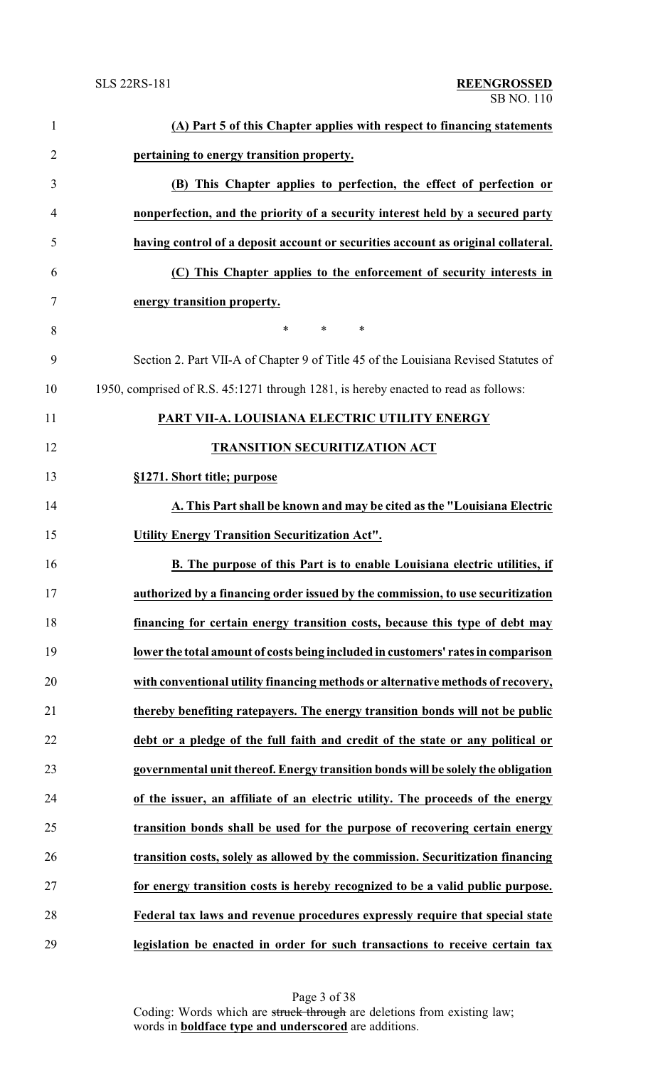| $\mathbf{1}$   | (A) Part 5 of this Chapter applies with respect to financing statements             |
|----------------|-------------------------------------------------------------------------------------|
| $\overline{2}$ | pertaining to energy transition property.                                           |
| 3              | (B) This Chapter applies to perfection, the effect of perfection or                 |
| $\overline{4}$ | nonperfection, and the priority of a security interest held by a secured party      |
| 5              | having control of a deposit account or securities account as original collateral.   |
| 6              | (C) This Chapter applies to the enforcement of security interests in                |
| 7              | energy transition property.                                                         |
| 8              | $\ast$<br>$\ast$<br>$\ast$                                                          |
| 9              | Section 2. Part VII-A of Chapter 9 of Title 45 of the Louisiana Revised Statutes of |
| 10             | 1950, comprised of R.S. 45:1271 through 1281, is hereby enacted to read as follows: |
| 11             | PART VII-A. LOUISIANA ELECTRIC UTILITY ENERGY                                       |
| 12             | <b>TRANSITION SECURITIZATION ACT</b>                                                |
| 13             | §1271. Short title; purpose                                                         |
| 14             | A. This Part shall be known and may be cited as the "Louisiana Electric             |
| 15             | <b>Utility Energy Transition Securitization Act".</b>                               |
| 16             | B. The purpose of this Part is to enable Louisiana electric utilities, if           |
| 17             | authorized by a financing order issued by the commission, to use securitization     |
| 18             | financing for certain energy transition costs, because this type of debt may        |
| 19             | lower the total amount of costs being included in customers' rates in comparison    |
| 20             | with conventional utility financing methods or alternative methods of recovery,     |
| 21             | thereby benefiting ratepayers. The energy transition bonds will not be public       |
| 22             | debt or a pledge of the full faith and credit of the state or any political or      |
| 23             | governmental unit thereof. Energy transition bonds will be solely the obligation    |
| 24             | of the issuer, an affiliate of an electric utility. The proceeds of the energy      |
| 25             | transition bonds shall be used for the purpose of recovering certain energy         |
| 26             | transition costs, solely as allowed by the commission. Securitization financing     |
| 27             | for energy transition costs is hereby recognized to be a valid public purpose.      |
| 28             | Federal tax laws and revenue procedures expressly require that special state        |
| 29             | legislation be enacted in order for such transactions to receive certain tax        |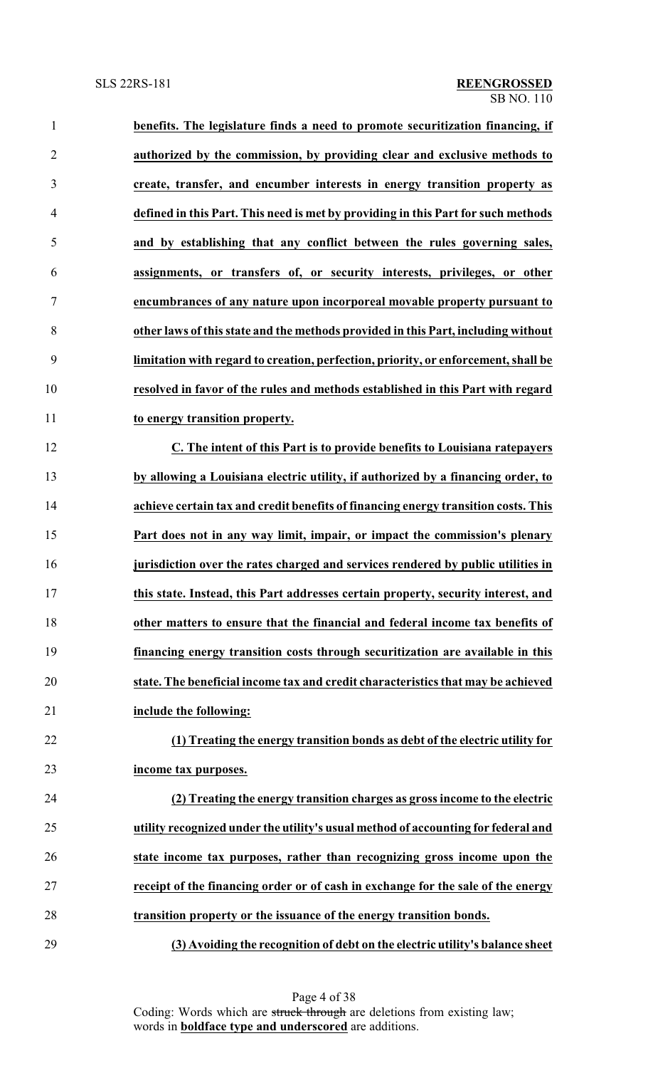| $\mathbf{1}$   | benefits. The legislature finds a need to promote securitization financing, if     |
|----------------|------------------------------------------------------------------------------------|
| $\overline{2}$ | authorized by the commission, by providing clear and exclusive methods to          |
| 3              | create, transfer, and encumber interests in energy transition property as          |
| $\overline{4}$ | defined in this Part. This need is met by providing in this Part for such methods  |
| 5              | and by establishing that any conflict between the rules governing sales,           |
| 6              | assignments, or transfers of, or security interests, privileges, or other          |
| $\tau$         | encumbrances of any nature upon incorporeal movable property pursuant to           |
| 8              | other laws of this state and the methods provided in this Part, including without  |
| 9              | limitation with regard to creation, perfection, priority, or enforcement, shall be |
| 10             | resolved in favor of the rules and methods established in this Part with regard    |
| 11             | to energy transition property.                                                     |
| 12             | C. The intent of this Part is to provide benefits to Louisiana ratepayers          |
| 13             | by allowing a Louisiana electric utility, if authorized by a financing order, to   |
| 14             | achieve certain tax and credit benefits of financing energy transition costs. This |
| 15             | Part does not in any way limit, impair, or impact the commission's plenary         |
| 16             | jurisdiction over the rates charged and services rendered by public utilities in   |
| 17             | this state. Instead, this Part addresses certain property, security interest, and  |
| 18             | other matters to ensure that the financial and federal income tax benefits of      |
| 19             | financing energy transition costs through securitization are available in this     |
| 20             | state. The beneficial income tax and credit characteristics that may be achieved   |
| 21             | include the following:                                                             |
| 22             | (1) Treating the energy transition bonds as debt of the electric utility for       |
| 23             | income tax purposes.                                                               |
| 24             | (2) Treating the energy transition charges as gross income to the electric         |
| 25             | utility recognized under the utility's usual method of accounting for federal and  |
| 26             | state income tax purposes, rather than recognizing gross income upon the           |
| 27             | receipt of the financing order or of cash in exchange for the sale of the energy   |
| 28             | transition property or the issuance of the energy transition bonds.                |
| 29             | (3) Avoiding the recognition of debt on the electric utility's balance sheet       |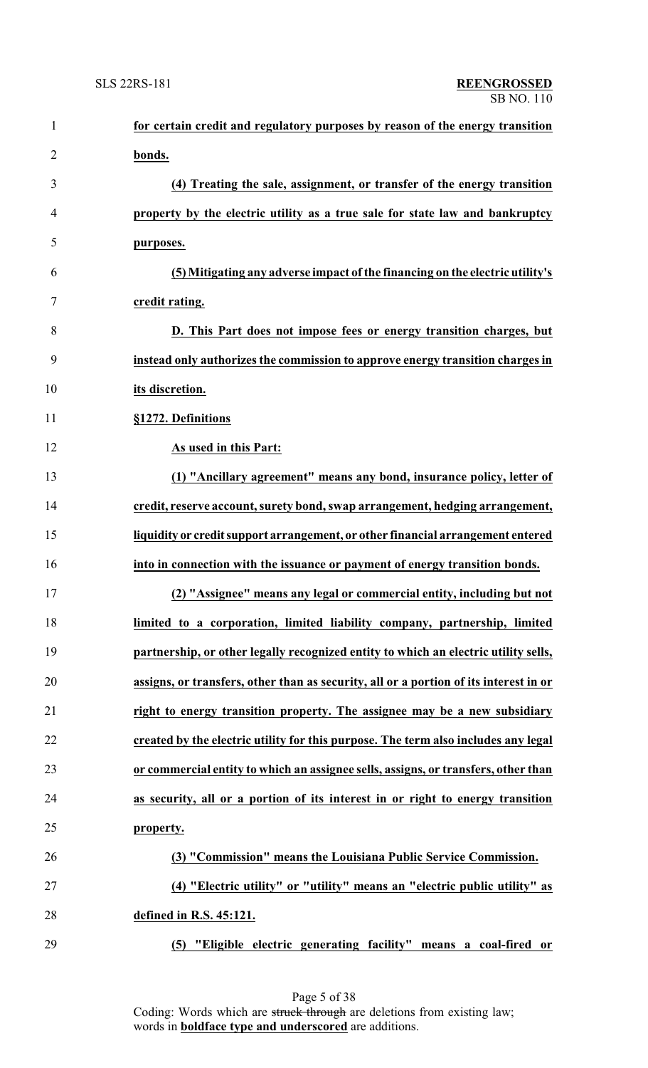| $\mathbf{1}$   | for certain credit and regulatory purposes by reason of the energy transition         |
|----------------|---------------------------------------------------------------------------------------|
| $\overline{2}$ | bonds.                                                                                |
| 3              | (4) Treating the sale, assignment, or transfer of the energy transition               |
| 4              | property by the electric utility as a true sale for state law and bankruptcy          |
| 5              | purposes.                                                                             |
| 6              | (5) Mitigating any adverse impact of the financing on the electric utility's          |
| 7              | credit rating.                                                                        |
| 8              | D. This Part does not impose fees or energy transition charges, but                   |
| 9              | instead only authorizes the commission to approve energy transition charges in        |
| 10             | its discretion.                                                                       |
| 11             | §1272. Definitions                                                                    |
| 12             | As used in this Part:                                                                 |
| 13             | (1) "Ancillary agreement" means any bond, insurance policy, letter of                 |
| 14             | credit, reserve account, surety bond, swap arrangement, hedging arrangement,          |
| 15             | liquidity or credit support arrangement, or other financial arrangement entered       |
| 16             | into in connection with the issuance or payment of energy transition bonds.           |
| 17             | (2) "Assignee" means any legal or commercial entity, including but not                |
| 18             | limited to a corporation, limited liability company, partnership, limited             |
| 19             | partnership, or other legally recognized entity to which an electric utility sells,   |
| 20             | assigns, or transfers, other than as security, all or a portion of its interest in or |
| 21             | right to energy transition property. The assignee may be a new subsidiary             |
| 22             | created by the electric utility for this purpose. The term also includes any legal    |
| 23             | or commercial entity to which an assignee sells, assigns, or transfers, other than    |
| 24             | as security, all or a portion of its interest in or right to energy transition        |
| 25             | property.                                                                             |
| 26             | (3) "Commission" means the Louisiana Public Service Commission.                       |
| 27             | (4) "Electric utility" or "utility" means an "electric public utility" as             |
| 28             | defined in R.S. 45:121.                                                               |
| 29             | "Eligible electric generating facility" means a coal-fired or<br>(5)                  |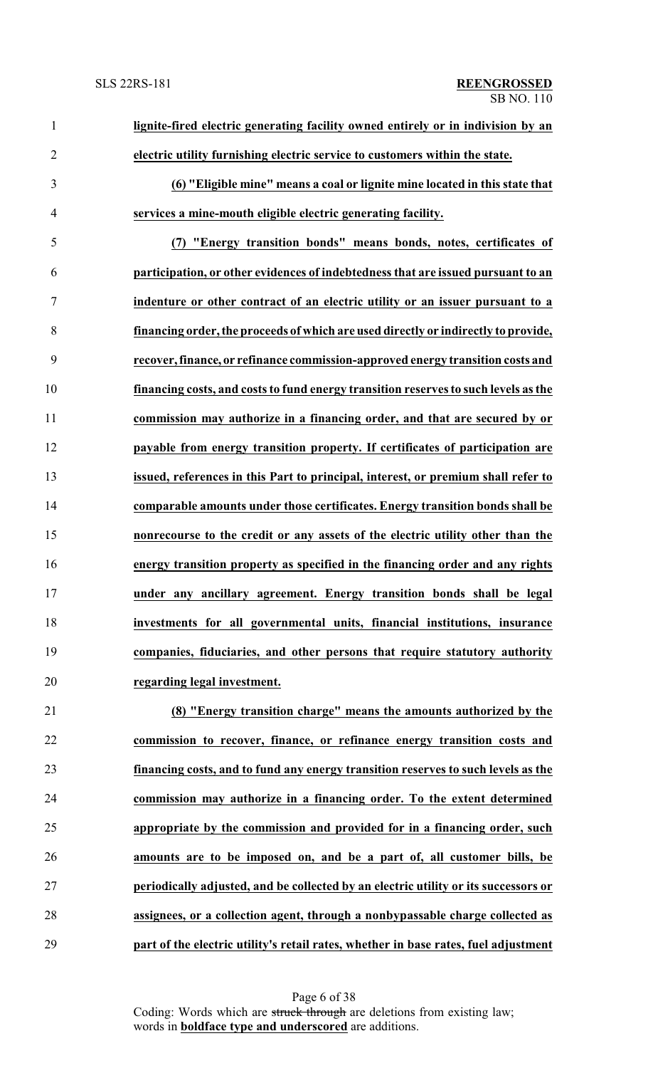| $\mathbf{1}$   | lignite-fired electric generating facility owned entirely or in indivision by an    |
|----------------|-------------------------------------------------------------------------------------|
| $\overline{2}$ | electric utility furnishing electric service to customers within the state.         |
| 3              | (6) "Eligible mine" means a coal or lignite mine located in this state that         |
| 4              | services a mine-mouth eligible electric generating facility.                        |
| 5              | (7) "Energy transition bonds" means bonds, notes, certificates of                   |
| 6              | participation, or other evidences of indebtedness that are issued pursuant to an    |
| 7              | indenture or other contract of an electric utility or an issuer pursuant to a       |
| 8              | financing order, the proceeds of which are used directly or indirectly to provide,  |
| 9              | recover, finance, or refinance commission-approved energy transition costs and      |
| 10             | financing costs, and costs to fund energy transition reserves to such levels as the |
| 11             | commission may authorize in a financing order, and that are secured by or           |
| 12             | payable from energy transition property. If certificates of participation are       |
| 13             | issued, references in this Part to principal, interest, or premium shall refer to   |
| 14             | comparable amounts under those certificates. Energy transition bonds shall be       |
| 15             | nonrecourse to the credit or any assets of the electric utility other than the      |
| 16             | energy transition property as specified in the financing order and any rights       |
| 17             | under any ancillary agreement. Energy transition bonds shall be legal               |
| 18             | investments for all governmental units, financial institutions, insurance           |
| 19             | companies, fiduciaries, and other persons that require statutory authority          |
| 20             | regarding legal investment.                                                         |
| 21             | (8) "Energy transition charge" means the amounts authorized by the                  |
| 22             | commission to recover, finance, or refinance energy transition costs and            |
| 23             | financing costs, and to fund any energy transition reserves to such levels as the   |
| 24             | commission may authorize in a financing order. To the extent determined             |
| 25             | appropriate by the commission and provided for in a financing order, such           |
| 26             | amounts are to be imposed on, and be a part of, all customer bills, be              |
| 27             | periodically adjusted, and be collected by an electric utility or its successors or |
| 28             | assignees, or a collection agent, through a nonbypassable charge collected as       |

**part of the electric utility's retail rates, whether in base rates, fuel adjustment**

Page 6 of 38 Coding: Words which are struck through are deletions from existing law; words in **boldface type and underscored** are additions.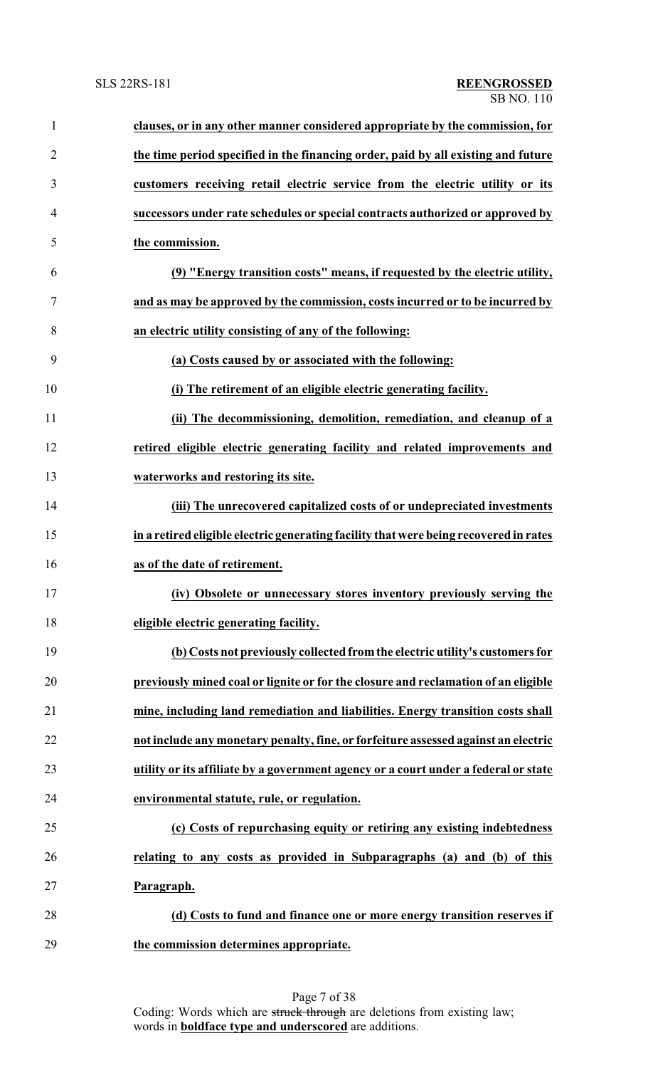| $\mathbf{1}$   | clauses, or in any other manner considered appropriate by the commission, for         |
|----------------|---------------------------------------------------------------------------------------|
| $\overline{2}$ | the time period specified in the financing order, paid by all existing and future     |
| 3              | customers receiving retail electric service from the electric utility or its          |
| $\overline{4}$ | successors under rate schedules or special contracts authorized or approved by        |
| 5              | the commission.                                                                       |
| 6              | (9) "Energy transition costs" means, if requested by the electric utility,            |
| 7              | and as may be approved by the commission, costs incurred or to be incurred by         |
| 8              | an electric utility consisting of any of the following:                               |
| 9              | (a) Costs caused by or associated with the following:                                 |
| 10             | (i) The retirement of an eligible electric generating facility.                       |
| 11             | (ii) The decommissioning, demolition, remediation, and cleanup of a                   |
| 12             | retired eligible electric generating facility and related improvements and            |
| 13             | waterworks and restoring its site.                                                    |
| 14             | (iii) The unrecovered capitalized costs of or undepreciated investments               |
| 15             | in a retired eligible electric generating facility that were being recovered in rates |
| 16             | as of the date of retirement.                                                         |
| 17             | (iv) Obsolete or unnecessary stores inventory previously serving the                  |
| 18             | eligible electric generating facility.                                                |
| 19             | (b) Costs not previously collected from the electric utility's customers for          |
| 20             | previously mined coal or lignite or for the closure and reclamation of an eligible    |
| 21             | mine, including land remediation and liabilities. Energy transition costs shall       |
| 22             | not include any monetary penalty, fine, or forfeiture assessed against an electric    |
| 23             | utility or its affiliate by a government agency or a court under a federal or state   |
| 24             | environmental statute, rule, or regulation.                                           |
| 25             | (c) Costs of repurchasing equity or retiring any existing indebtedness                |
| 26             | relating to any costs as provided in Subparagraphs (a) and (b) of this                |
| 27             | Paragraph.                                                                            |
| 28             | (d) Costs to fund and finance one or more energy transition reserves if               |
| 29             | the commission determines appropriate.                                                |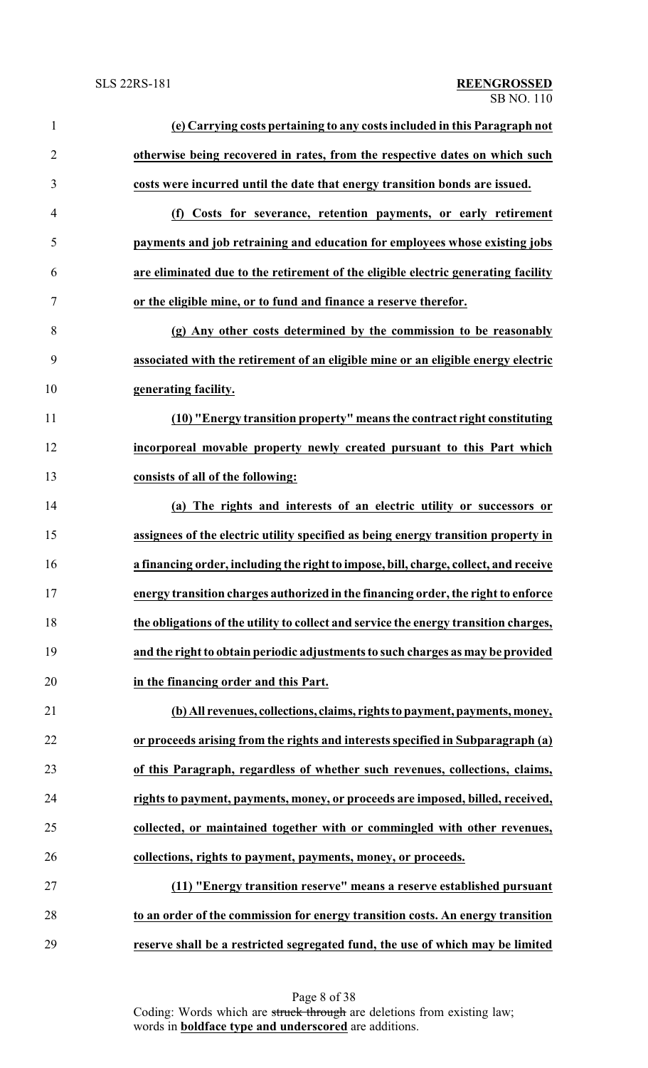| $\mathbf{1}$   | (e) Carrying costs pertaining to any costs included in this Paragraph not            |
|----------------|--------------------------------------------------------------------------------------|
| $\overline{2}$ | otherwise being recovered in rates, from the respective dates on which such          |
| 3              | costs were incurred until the date that energy transition bonds are issued.          |
| $\overline{4}$ | (f) Costs for severance, retention payments, or early retirement                     |
| 5              | payments and job retraining and education for employees whose existing jobs          |
| 6              | are eliminated due to the retirement of the eligible electric generating facility    |
| 7              | or the eligible mine, or to fund and finance a reserve therefor.                     |
| 8              | (g) Any other costs determined by the commission to be reasonably                    |
| 9              | associated with the retirement of an eligible mine or an eligible energy electric    |
| 10             | generating facility.                                                                 |
| 11             | (10) "Energy transition property" means the contract right constituting              |
| 12             | incorporeal movable property newly created pursuant to this Part which               |
| 13             | consists of all of the following:                                                    |
| 14             | (a) The rights and interests of an electric utility or successors or                 |
| 15             | assignees of the electric utility specified as being energy transition property in   |
| 16             | a financing order, including the right to impose, bill, charge, collect, and receive |
| 17             | energy transition charges authorized in the financing order, the right to enforce    |
| 18             | the obligations of the utility to collect and service the energy transition charges, |
| 19             | and the right to obtain periodic adjustments to such charges as may be provided      |
| 20             | in the financing order and this Part.                                                |
| 21             | (b) All revenues, collections, claims, rights to payment, payments, money,           |
| 22             | or proceeds arising from the rights and interests specified in Subparagraph (a)      |
| 23             | of this Paragraph, regardless of whether such revenues, collections, claims,         |
| 24             | rights to payment, payments, money, or proceeds are imposed, billed, received,       |
| 25             | collected, or maintained together with or commingled with other revenues,            |
| 26             | collections, rights to payment, payments, money, or proceeds.                        |
| 27             | (11) "Energy transition reserve" means a reserve established pursuant                |
| 28             | to an order of the commission for energy transition costs. An energy transition      |
| 29             | reserve shall be a restricted segregated fund, the use of which may be limited       |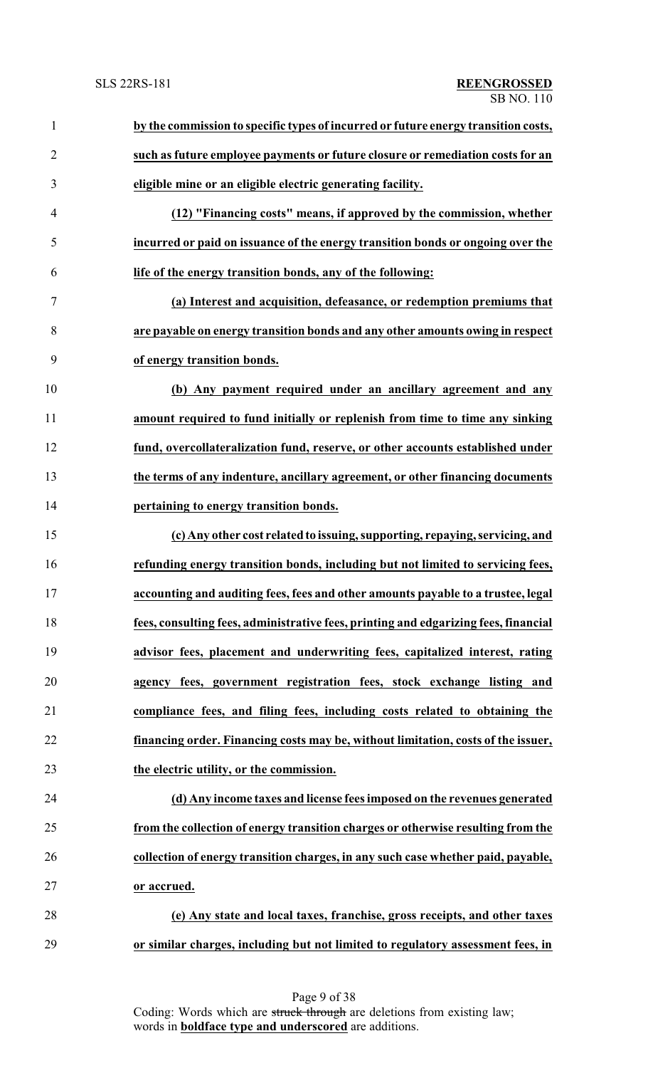| $\mathbf{1}$   | by the commission to specific types of incurred or future energy transition costs,  |
|----------------|-------------------------------------------------------------------------------------|
| $\overline{2}$ | such as future employee payments or future closure or remediation costs for an      |
| $\mathfrak{Z}$ | eligible mine or an eligible electric generating facility.                          |
| $\overline{4}$ | (12) "Financing costs" means, if approved by the commission, whether                |
| 5              | incurred or paid on issuance of the energy transition bonds or ongoing over the     |
| 6              | life of the energy transition bonds, any of the following:                          |
| $\tau$         | (a) Interest and acquisition, defeasance, or redemption premiums that               |
| $8\,$          | are payable on energy transition bonds and any other amounts owing in respect       |
| 9              | of energy transition bonds.                                                         |
| 10             | (b) Any payment required under an ancillary agreement and any                       |
| 11             | amount required to fund initially or replenish from time to time any sinking        |
| 12             | fund, overcollateralization fund, reserve, or other accounts established under      |
| 13             | the terms of any indenture, ancillary agreement, or other financing documents       |
| 14             | pertaining to energy transition bonds.                                              |
| 15             | (c) Any other cost related to issuing, supporting, repaying, servicing, and         |
| 16             | refunding energy transition bonds, including but not limited to servicing fees,     |
| 17             | accounting and auditing fees, fees and other amounts payable to a trustee, legal    |
| 18             | fees, consulting fees, administrative fees, printing and edgarizing fees, financial |
| 19             | advisor fees, placement and underwriting fees, capitalized interest, rating         |
| 20             | agency fees, government registration fees, stock exchange listing and               |
| 21             | compliance fees, and filing fees, including costs related to obtaining the          |
| 22             | financing order. Financing costs may be, without limitation, costs of the issuer,   |
| 23             | the electric utility, or the commission.                                            |
| 24             | (d) Any income taxes and license fees imposed on the revenues generated             |
| 25             | from the collection of energy transition charges or otherwise resulting from the    |
| 26             | collection of energy transition charges, in any such case whether paid, payable,    |
| 27             | or accrued.                                                                         |
| 28             | (e) Any state and local taxes, franchise, gross receipts, and other taxes           |
| 29             | or similar charges, including but not limited to regulatory assessment fees, in     |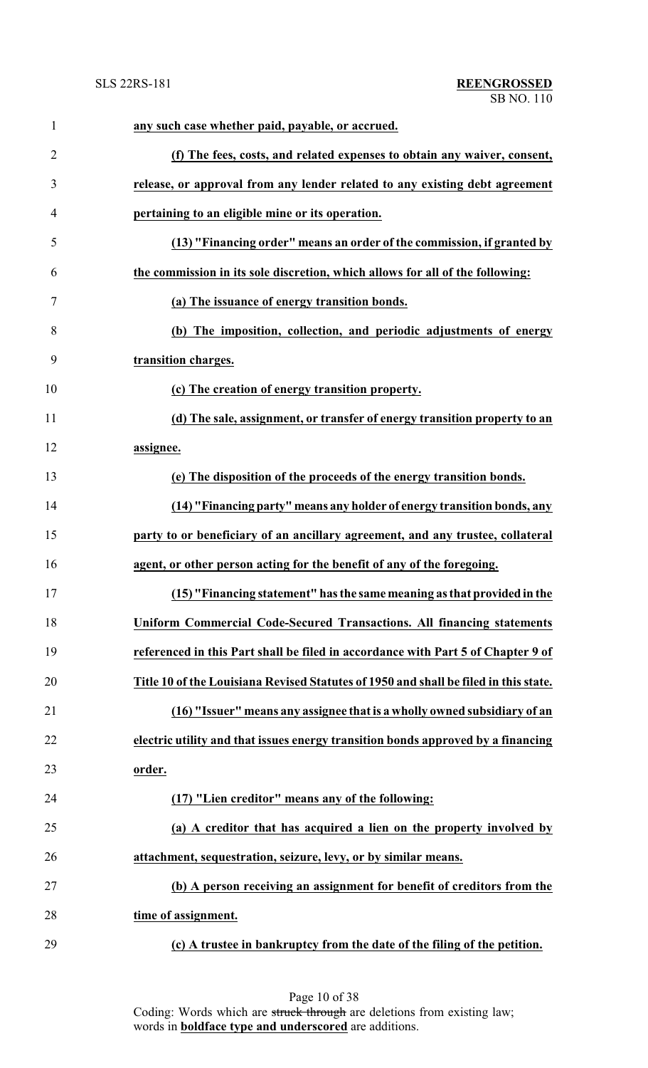| $\mathbf{1}$   | any such case whether paid, payable, or accrued.                                     |
|----------------|--------------------------------------------------------------------------------------|
| $\overline{2}$ | (f) The fees, costs, and related expenses to obtain any waiver, consent,             |
| 3              | release, or approval from any lender related to any existing debt agreement          |
| 4              | pertaining to an eligible mine or its operation.                                     |
| 5              | (13) "Financing order" means an order of the commission, if granted by               |
| 6              | the commission in its sole discretion, which allows for all of the following:        |
| $\tau$         | (a) The issuance of energy transition bonds.                                         |
| 8              | (b) The imposition, collection, and periodic adjustments of energy                   |
| 9              | transition charges.                                                                  |
| 10             | (c) The creation of energy transition property.                                      |
| 11             | (d) The sale, assignment, or transfer of energy transition property to an            |
| 12             | assignee.                                                                            |
| 13             | (e) The disposition of the proceeds of the energy transition bonds.                  |
| 14             | (14) "Financing party" means any holder of energy transition bonds, any              |
| 15             | party to or beneficiary of an ancillary agreement, and any trustee, collateral       |
| 16             | agent, or other person acting for the benefit of any of the foregoing.               |
| 17             | (15) "Financing statement" has the same meaning as that provided in the              |
| 18             | Uniform Commercial Code-Secured Transactions. All financing statements               |
| 19             | referenced in this Part shall be filed in accordance with Part 5 of Chapter 9 of     |
| 20             | Title 10 of the Louisiana Revised Statutes of 1950 and shall be filed in this state. |
| 21             | (16) "Issuer" means any assignee that is a wholly owned subsidiary of an             |
| 22             | electric utility and that issues energy transition bonds approved by a financing     |
| 23             | order.                                                                               |
| 24             | (17) "Lien creditor" means any of the following:                                     |
| 25             | (a) A creditor that has acquired a lien on the property involved by                  |
| 26             | attachment, sequestration, seizure, levy, or by similar means.                       |
| 27             | (b) A person receiving an assignment for benefit of creditors from the               |
| 28             | time of assignment.                                                                  |
| 29             | (c) A trustee in bankruptcy from the date of the filing of the petition.             |

Page 10 of 38 Coding: Words which are struck through are deletions from existing law; words in **boldface type and underscored** are additions.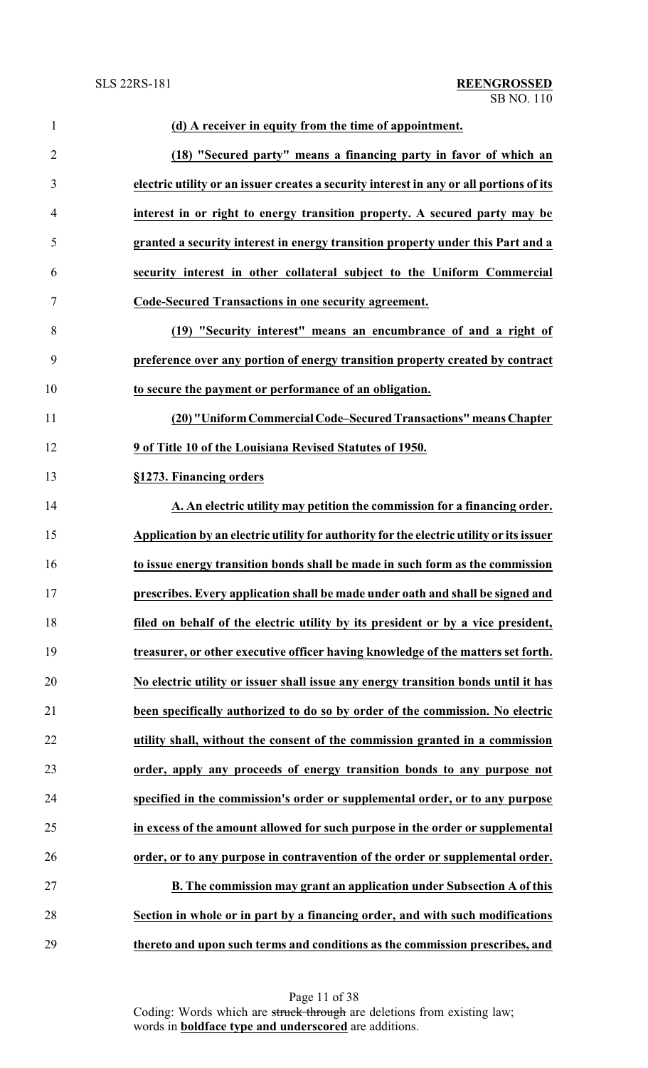| $\mathbf{1}$   | (d) A receiver in equity from the time of appointment.                                  |
|----------------|-----------------------------------------------------------------------------------------|
| $\overline{2}$ | (18) "Secured party" means a financing party in favor of which an                       |
| 3              | electric utility or an issuer creates a security interest in any or all portions of its |
| 4              | interest in or right to energy transition property. A secured party may be              |
| 5              | granted a security interest in energy transition property under this Part and a         |
| 6              | security interest in other collateral subject to the Uniform Commercial                 |
| 7              | Code-Secured Transactions in one security agreement.                                    |
| 8              | (19) "Security interest" means an encumbrance of and a right of                         |
| 9              | preference over any portion of energy transition property created by contract           |
| 10             | to secure the payment or performance of an obligation.                                  |
| 11             | (20) "Uniform Commercial Code-Secured Transactions" means Chapter                       |
| 12             | 9 of Title 10 of the Louisiana Revised Statutes of 1950.                                |
| 13             | §1273. Financing orders                                                                 |
| 14             | A. An electric utility may petition the commission for a financing order.               |
| 15             | Application by an electric utility for authority for the electric utility or its issuer |
| 16             | to issue energy transition bonds shall be made in such form as the commission           |
| 17             | prescribes. Every application shall be made under oath and shall be signed and          |
| 18             | filed on behalf of the electric utility by its president or by a vice president,        |
| 19             | treasurer, or other executive officer having knowledge of the matters set forth.        |
| 20             | No electric utility or issuer shall issue any energy transition bonds until it has      |
| 21             | been specifically authorized to do so by order of the commission. No electric           |
| 22             | utility shall, without the consent of the commission granted in a commission            |
| 23             | order, apply any proceeds of energy transition bonds to any purpose not                 |
| 24             | specified in the commission's order or supplemental order, or to any purpose            |
| 25             | in excess of the amount allowed for such purpose in the order or supplemental           |
| 26             | order, or to any purpose in contravention of the order or supplemental order.           |
| 27             | B. The commission may grant an application under Subsection A of this                   |
| 28             | Section in whole or in part by a financing order, and with such modifications           |
| 29             | thereto and upon such terms and conditions as the commission prescribes, and            |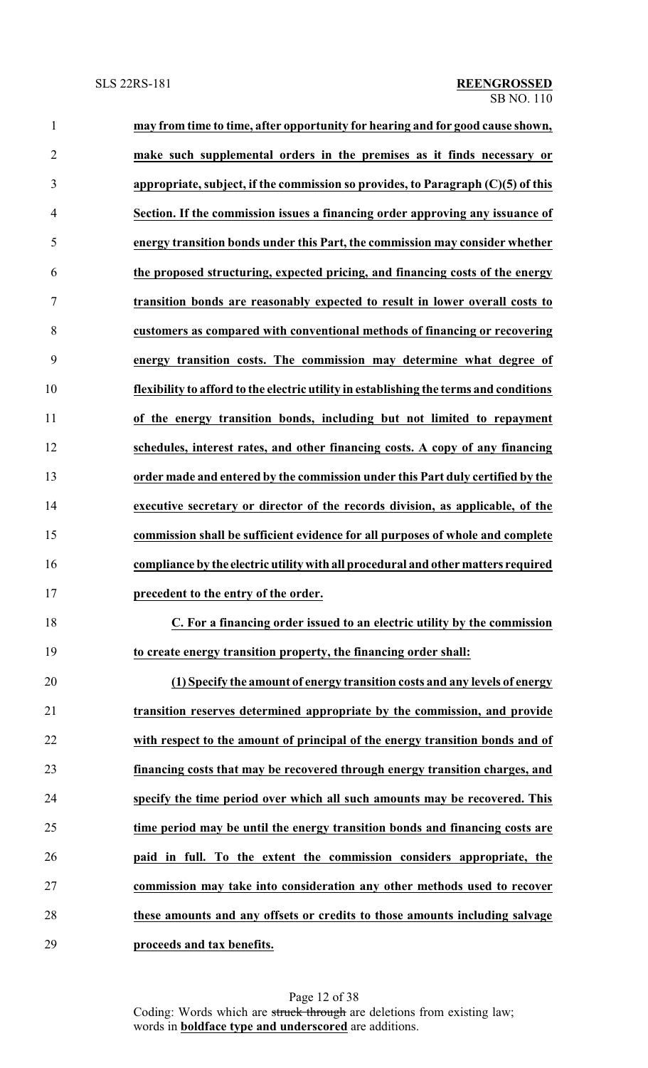| $\mathbf{1}$   | may from time to time, after opportunity for hearing and for good cause shown,         |
|----------------|----------------------------------------------------------------------------------------|
| $\overline{2}$ | make such supplemental orders in the premises as it finds necessary or                 |
| 3              | appropriate, subject, if the commission so provides, to Paragraph $(C)(5)$ of this     |
| $\overline{4}$ | Section. If the commission issues a financing order approving any issuance of          |
| 5              | energy transition bonds under this Part, the commission may consider whether           |
| 6              | the proposed structuring, expected pricing, and financing costs of the energy          |
| 7              | transition bonds are reasonably expected to result in lower overall costs to           |
| 8              | customers as compared with conventional methods of financing or recovering             |
| 9              | energy transition costs. The commission may determine what degree of                   |
| 10             | flexibility to afford to the electric utility in establishing the terms and conditions |
| 11             | of the energy transition bonds, including but not limited to repayment                 |
| 12             | schedules, interest rates, and other financing costs. A copy of any financing          |
| 13             | order made and entered by the commission under this Part duly certified by the         |
| 14             | executive secretary or director of the records division, as applicable, of the         |
| 15             | commission shall be sufficient evidence for all purposes of whole and complete         |
| 16             | compliance by the electric utility with all procedural and other matters required      |
| 17             | precedent to the entry of the order.                                                   |
| 18             | C. For a financing order issued to an electric utility by the commission               |
| 19             | to create energy transition property, the financing order shall:                       |
| 20             | (1) Specify the amount of energy transition costs and any levels of energy             |
| 21             | transition reserves determined appropriate by the commission, and provide              |
| 22             | with respect to the amount of principal of the energy transition bonds and of          |
| 23             | financing costs that may be recovered through energy transition charges, and           |
| 24             | specify the time period over which all such amounts may be recovered. This             |
| 25             | time period may be until the energy transition bonds and financing costs are           |
| 26             | paid in full. To the extent the commission considers appropriate, the                  |
| 27             | commission may take into consideration any other methods used to recover               |
| 28             | these amounts and any offsets or credits to those amounts including salvage            |
| 29             | proceeds and tax benefits.                                                             |

Page 12 of 38 Coding: Words which are struck through are deletions from existing law; words in **boldface type and underscored** are additions.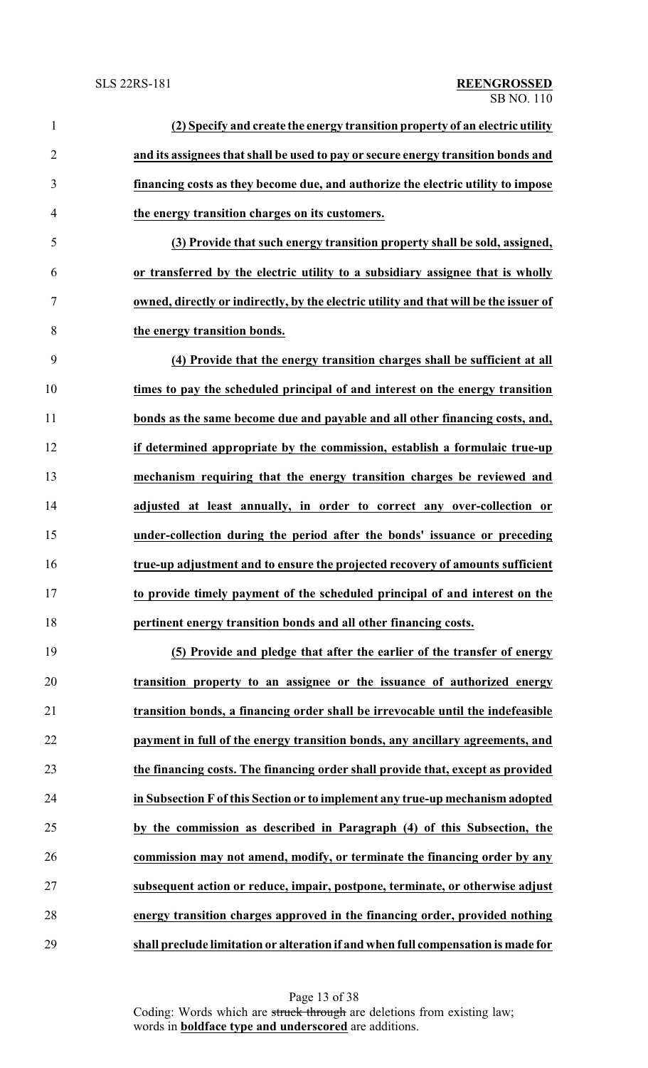| $\mathbf{1}$   | (2) Specify and create the energy transition property of an electric utility          |
|----------------|---------------------------------------------------------------------------------------|
| $\overline{2}$ | and its assignees that shall be used to pay or secure energy transition bonds and     |
| 3              | financing costs as they become due, and authorize the electric utility to impose      |
| $\overline{4}$ | the energy transition charges on its customers.                                       |
| 5              | (3) Provide that such energy transition property shall be sold, assigned,             |
| 6              | or transferred by the electric utility to a subsidiary assignee that is wholly        |
| $\tau$         | owned, directly or indirectly, by the electric utility and that will be the issuer of |
| 8              | the energy transition bonds.                                                          |
| 9              | (4) Provide that the energy transition charges shall be sufficient at all             |
| 10             | times to pay the scheduled principal of and interest on the energy transition         |
| 11             | bonds as the same become due and payable and all other financing costs, and,          |
| 12             | if determined appropriate by the commission, establish a formulaic true-up            |
| 13             | mechanism requiring that the energy transition charges be reviewed and                |
| 14             | adjusted at least annually, in order to correct any over-collection or                |
| 15             | under-collection during the period after the bonds' issuance or preceding             |
| 16             | true-up adjustment and to ensure the projected recovery of amounts sufficient         |
| 17             | to provide timely payment of the scheduled principal of and interest on the           |
| 18             | pertinent energy transition bonds and all other financing costs.                      |
| 19             | (5) Provide and pledge that after the earlier of the transfer of energy               |
| 20             | transition property to an assignee or the issuance of authorized energy               |
| 21             | transition bonds, a financing order shall be irrevocable until the indefeasible       |
| 22             | payment in full of the energy transition bonds, any ancillary agreements, and         |
| 23             | the financing costs. The financing order shall provide that, except as provided       |
| 24             | in Subsection F of this Section or to implement any true-up mechanism adopted         |
| 25             | by the commission as described in Paragraph (4) of this Subsection, the               |
| 26             | commission may not amend, modify, or terminate the financing order by any             |
| 27             | subsequent action or reduce, impair, postpone, terminate, or otherwise adjust         |
| 28             | energy transition charges approved in the financing order, provided nothing           |

**shall preclude limitation or alteration if and when full compensation is made for**

Page 13 of 38 Coding: Words which are struck through are deletions from existing law; words in **boldface type and underscored** are additions.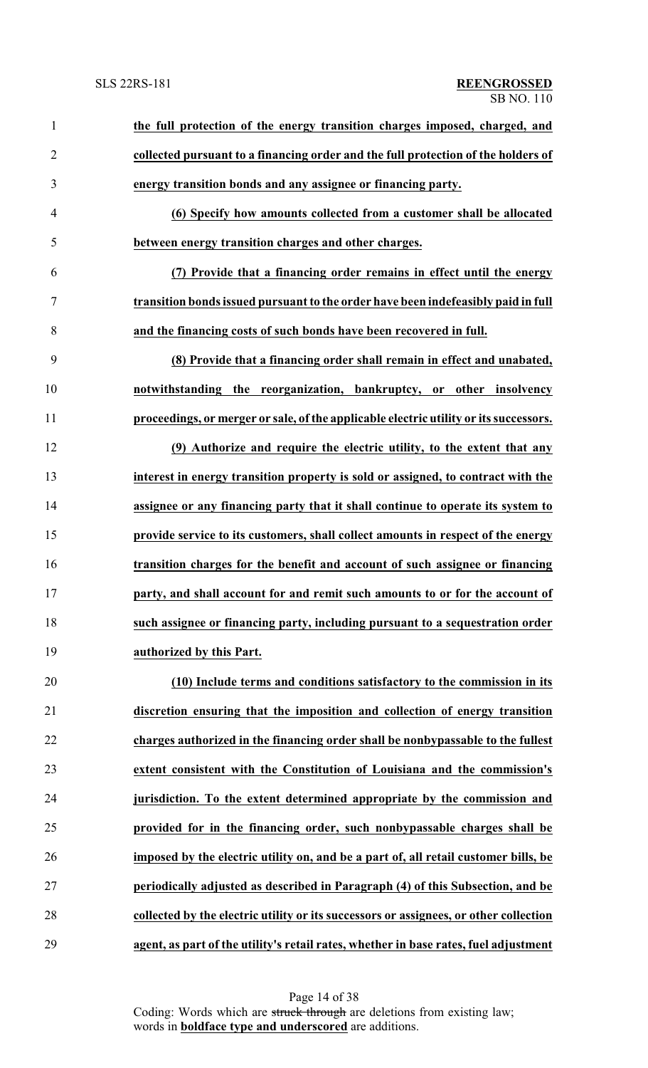| $\mathbf{1}$   | the full protection of the energy transition charges imposed, charged, and            |
|----------------|---------------------------------------------------------------------------------------|
| $\overline{2}$ | collected pursuant to a financing order and the full protection of the holders of     |
| 3              | energy transition bonds and any assignee or financing party.                          |
| $\overline{4}$ | (6) Specify how amounts collected from a customer shall be allocated                  |
| 5              | between energy transition charges and other charges.                                  |
| 6              | (7) Provide that a financing order remains in effect until the energy                 |
| $\tau$         | transition bonds issued pursuant to the order have been indefeasibly paid in full     |
| 8              | and the financing costs of such bonds have been recovered in full.                    |
| 9              | (8) Provide that a financing order shall remain in effect and unabated,               |
| 10             | notwithstanding the reorganization, bankruptcy, or other insolvency                   |
| 11             | proceedings, or merger or sale, of the applicable electric utility or its successors. |
| 12             | (9) Authorize and require the electric utility, to the extent that any                |
| 13             | interest in energy transition property is sold or assigned, to contract with the      |
| 14             | assignee or any financing party that it shall continue to operate its system to       |
| 15             | provide service to its customers, shall collect amounts in respect of the energy      |
| 16             | transition charges for the benefit and account of such assignee or financing          |
| 17             | party, and shall account for and remit such amounts to or for the account of          |
| 18             | such assignee or financing party, including pursuant to a sequestration order         |
| 19             | authorized by this Part.                                                              |
| 20             | (10) Include terms and conditions satisfactory to the commission in its               |
| 21             | discretion ensuring that the imposition and collection of energy transition           |
| 22             | charges authorized in the financing order shall be nonbypassable to the fullest       |
| 23             | extent consistent with the Constitution of Louisiana and the commission's             |
| 24             | jurisdiction. To the extent determined appropriate by the commission and              |
| 25             | provided for in the financing order, such nonbypassable charges shall be              |
| 26             | imposed by the electric utility on, and be a part of, all retail customer bills, be   |
| 27             | periodically adjusted as described in Paragraph (4) of this Subsection, and be        |
| 28             | collected by the electric utility or its successors or assignees, or other collection |
| 29             | agent, as part of the utility's retail rates, whether in base rates, fuel adjustment  |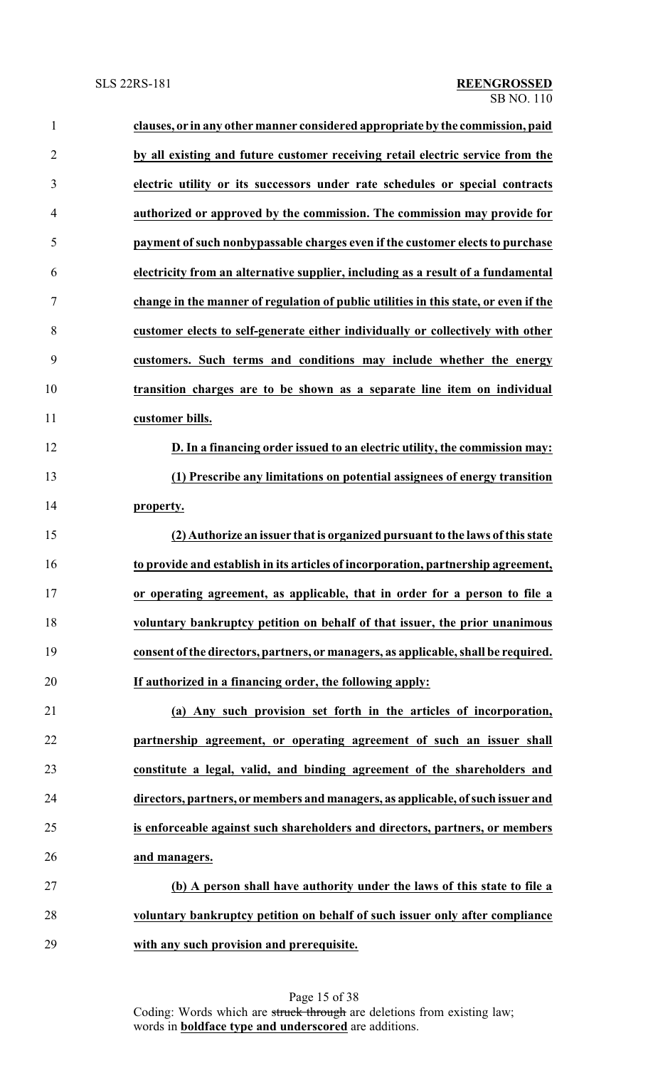| $\mathbf{1}$   | clauses, or in any other manner considered appropriate by the commission, paid       |
|----------------|--------------------------------------------------------------------------------------|
| $\overline{2}$ | by all existing and future customer receiving retail electric service from the       |
| 3              | electric utility or its successors under rate schedules or special contracts         |
| 4              | authorized or approved by the commission. The commission may provide for             |
| 5              | payment of such nonbypassable charges even if the customer elects to purchase        |
| 6              | electricity from an alternative supplier, including as a result of a fundamental     |
| 7              | change in the manner of regulation of public utilities in this state, or even if the |
| 8              | customer elects to self-generate either individually or collectively with other      |
| 9              | customers. Such terms and conditions may include whether the energy                  |
| 10             | transition charges are to be shown as a separate line item on individual             |
| 11             | customer bills.                                                                      |
| 12             | D. In a financing order issued to an electric utility, the commission may:           |
| 13             | (1) Prescribe any limitations on potential assignees of energy transition            |
| 14             | property.                                                                            |
| 15             | (2) Authorize an issuer that is organized pursuant to the laws of this state         |
| 16             | to provide and establish in its articles of incorporation, partnership agreement,    |
| 17             | or operating agreement, as applicable, that in order for a person to file a          |
| 18             | voluntary bankruptcy petition on behalf of that issuer, the prior unanimous          |
| 19             | consent of the directors, partners, or managers, as applicable, shall be required.   |
| 20             | If authorized in a financing order, the following apply:                             |
| 21             | (a) Any such provision set forth in the articles of incorporation,                   |
| 22             | partnership agreement, or operating agreement of such an issuer shall                |
| 23             | constitute a legal, valid, and binding agreement of the shareholders and             |
| 24             | directors, partners, or members and managers, as applicable, of such issuer and      |
| 25             | is enforceable against such shareholders and directors, partners, or members         |
| 26             | and managers.                                                                        |
| 27             | (b) A person shall have authority under the laws of this state to file a             |
| 28             | voluntary bankruptcy petition on behalf of such issuer only after compliance         |
| 29             | with any such provision and prerequisite.                                            |

Page 15 of 38 Coding: Words which are struck through are deletions from existing law; words in **boldface type and underscored** are additions.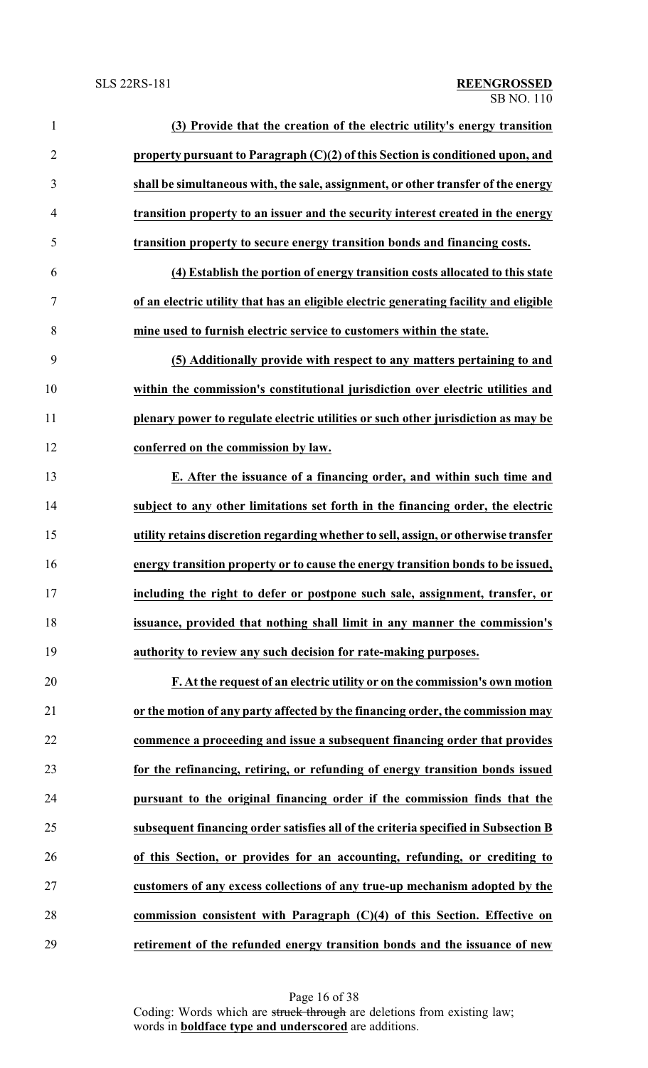| $\mathbf{1}$   | (3) Provide that the creation of the electric utility's energy transition             |
|----------------|---------------------------------------------------------------------------------------|
| $\overline{2}$ | property pursuant to Paragraph $(C)(2)$ of this Section is conditioned upon, and      |
| 3              | shall be simultaneous with, the sale, assignment, or other transfer of the energy     |
| 4              | transition property to an issuer and the security interest created in the energy      |
| 5              | transition property to secure energy transition bonds and financing costs.            |
| 6              | (4) Establish the portion of energy transition costs allocated to this state          |
| $\tau$         | of an electric utility that has an eligible electric generating facility and eligible |
| 8              | mine used to furnish electric service to customers within the state.                  |
| 9              | (5) Additionally provide with respect to any matters pertaining to and                |
| 10             | within the commission's constitutional jurisdiction over electric utilities and       |
| 11             | plenary power to regulate electric utilities or such other jurisdiction as may be     |
| 12             | conferred on the commission by law.                                                   |
| 13             | E. After the issuance of a financing order, and within such time and                  |
| 14             | subject to any other limitations set forth in the financing order, the electric       |
| 15             | utility retains discretion regarding whether to sell, assign, or otherwise transfer   |
| 16             | energy transition property or to cause the energy transition bonds to be issued,      |
| 17             | including the right to defer or postpone such sale, assignment, transfer, or          |
| 18             | issuance, provided that nothing shall limit in any manner the commission's            |
| 19             | authority to review any such decision for rate-making purposes.                       |
| 20             | F. At the request of an electric utility or on the commission's own motion            |
| 21             | or the motion of any party affected by the financing order, the commission may        |
| 22             | commence a proceeding and issue a subsequent financing order that provides            |
| 23             | for the refinancing, retiring, or refunding of energy transition bonds issued         |
| 24             | pursuant to the original financing order if the commission finds that the             |
| 25             | subsequent financing order satisfies all of the criteria specified in Subsection B    |
| 26             | of this Section, or provides for an accounting, refunding, or crediting to            |
| 27             | customers of any excess collections of any true-up mechanism adopted by the           |
| 28             | commission consistent with Paragraph $(C)(4)$ of this Section. Effective on           |
| 29             | retirement of the refunded energy transition bonds and the issuance of new            |

Page 16 of 38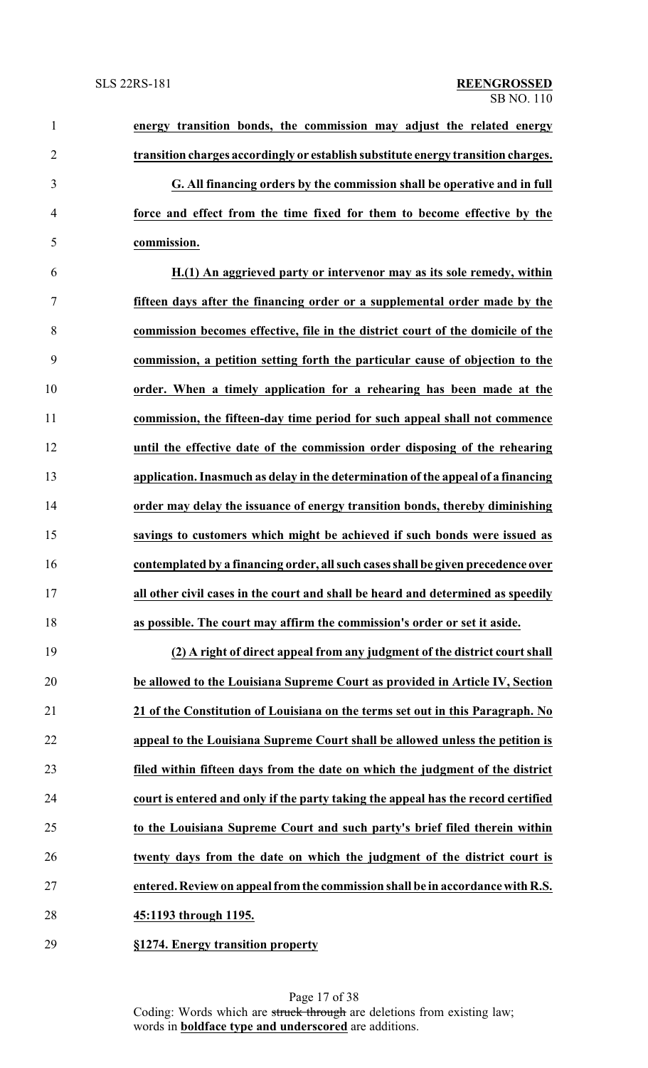| $\mathbf{1}$   | energy transition bonds, the commission may adjust the related energy             |
|----------------|-----------------------------------------------------------------------------------|
| $\overline{2}$ | transition charges accordingly or establish substitute energy transition charges. |
| 3              | G. All financing orders by the commission shall be operative and in full          |
| $\overline{4}$ | force and effect from the time fixed for them to become effective by the          |
| 5              | commission.                                                                       |
| 6              | H.(1) An aggrieved party or intervenor may as its sole remedy, within             |
| 7              | fifteen days after the financing order or a supplemental order made by the        |
| 8              | commission becomes effective, file in the district court of the domicile of the   |
| 9              | commission, a petition setting forth the particular cause of objection to the     |
| 10             | order. When a timely application for a rehearing has been made at the             |
| 11             | commission, the fifteen-day time period for such appeal shall not commence        |
| 12             | until the effective date of the commission order disposing of the rehearing       |
| 13             | application. Inasmuch as delay in the determination of the appeal of a financing  |
| 14             | order may delay the issuance of energy transition bonds, thereby diminishing      |
| 15             | savings to customers which might be achieved if such bonds were issued as         |
| 16             | contemplated by a financing order, all such cases shall be given precedence over  |
| 17             | all other civil cases in the court and shall be heard and determined as speedily  |
| 18             | as possible. The court may affirm the commission's order or set it aside.         |
| 19             | (2) A right of direct appeal from any judgment of the district court shall        |
| 20             | be allowed to the Louisiana Supreme Court as provided in Article IV, Section      |
| 21             | 21 of the Constitution of Louisiana on the terms set out in this Paragraph. No    |
| 22             | appeal to the Louisiana Supreme Court shall be allowed unless the petition is     |
| 23             | filed within fifteen days from the date on which the judgment of the district     |
| 24             | court is entered and only if the party taking the appeal has the record certified |
| 25             | to the Louisiana Supreme Court and such party's brief filed therein within        |
| 26             | twenty days from the date on which the judgment of the district court is          |
| 27             | entered. Review on appeal from the commission shall be in accordance with R.S.    |
| 28             | 45:1193 through 1195.                                                             |
|                |                                                                                   |

**§1274. Energy transition property**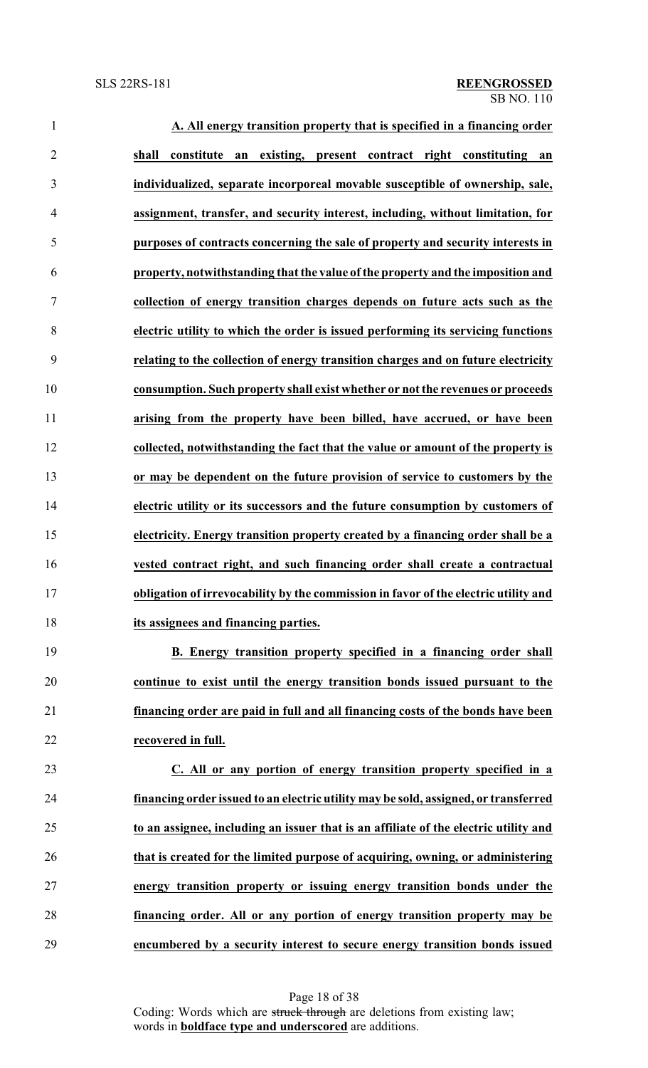| $\mathbf{1}$   | A. All energy transition property that is specified in a financing order             |
|----------------|--------------------------------------------------------------------------------------|
| $\overline{2}$ | constitute an existing, present contract right constituting an<br>shall              |
| 3              | individualized, separate incorporeal movable susceptible of ownership, sale,         |
| $\overline{4}$ | assignment, transfer, and security interest, including, without limitation, for      |
| 5              | purposes of contracts concerning the sale of property and security interests in      |
| 6              | property, notwithstanding that the value of the property and the imposition and      |
| 7              | collection of energy transition charges depends on future acts such as the           |
| 8              | electric utility to which the order is issued performing its servicing functions     |
| 9              | relating to the collection of energy transition charges and on future electricity    |
| 10             | consumption. Such property shall exist whether or not the revenues or proceeds       |
| 11             | arising from the property have been billed, have accrued, or have been               |
| 12             | collected, notwithstanding the fact that the value or amount of the property is      |
| 13             | or may be dependent on the future provision of service to customers by the           |
| 14             | electric utility or its successors and the future consumption by customers of        |
| 15             | electricity. Energy transition property created by a financing order shall be a      |
| 16             | vested contract right, and such financing order shall create a contractual           |
| 17             | obligation of irrevocability by the commission in favor of the electric utility and  |
| 18             | its assignees and financing parties.                                                 |
| 19             | B. Energy transition property specified in a financing order shall                   |
| 20             | continue to exist until the energy transition bonds issued pursuant to the           |
| 21             | financing order are paid in full and all financing costs of the bonds have been      |
| 22             | recovered in full.                                                                   |
| 23             | C. All or any portion of energy transition property specified in a                   |
| 24             | financing order issued to an electric utility may be sold, assigned, or transferred  |
| 25             | to an assignee, including an issuer that is an affiliate of the electric utility and |
| 26             | that is created for the limited purpose of acquiring, owning, or administering       |
| 27             | energy transition property or issuing energy transition bonds under the              |
| 28             | financing order. All or any portion of energy transition property may be             |
| 29             | encumbered by a security interest to secure energy transition bonds issued           |

Page 18 of 38 Coding: Words which are struck through are deletions from existing law; words in **boldface type and underscored** are additions.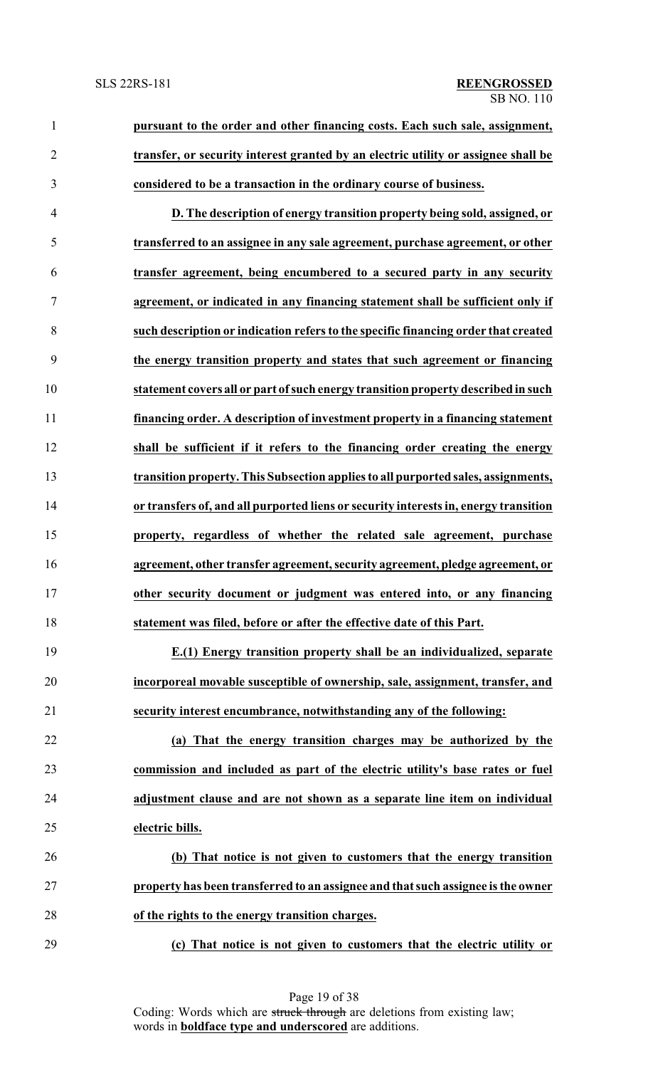**pursuant to the order and other financing costs. Each such sale, assignment, transfer, or security interest granted by an electric utility or assignee shall be considered to be a transaction in the ordinary course of business.**

 **D. The description of energy transition property being sold, assigned, or transferred to an assignee in any sale agreement, purchase agreement, or other transfer agreement, being encumbered to a secured party in any security agreement, or indicated in any financing statement shall be sufficient only if such description or indication refers to the specific financing order that created the energy transition property and states that such agreement or financing statement covers all or part ofsuch energy transition property described in such financing order. A description of investment property in a financing statement shall be sufficient if it refers to the financing order creating the energy transition property. This Subsection applies to all purported sales, assignments, or transfers of, and all purported liens or security interests in, energy transition property, regardless of whether the related sale agreement, purchase agreement, other transfer agreement, security agreement, pledge agreement, or other security document or judgment was entered into, or any financing statement was filed, before or after the effective date of this Part.**

 **E.(1) Energy transition property shall be an individualized, separate incorporeal movable susceptible of ownership, sale, assignment, transfer, and security interest encumbrance, notwithstanding any of the following:**

 **(a) That the energy transition charges may be authorized by the commission and included as part of the electric utility's base rates or fuel adjustment clause and are not shown as a separate line item on individual electric bills.**

 **(b) That notice is not given to customers that the energy transition property has been transferred to an assignee and that such assignee is the owner of the rights to the energy transition charges.**

**(c) That notice is not given to customers that the electric utility or**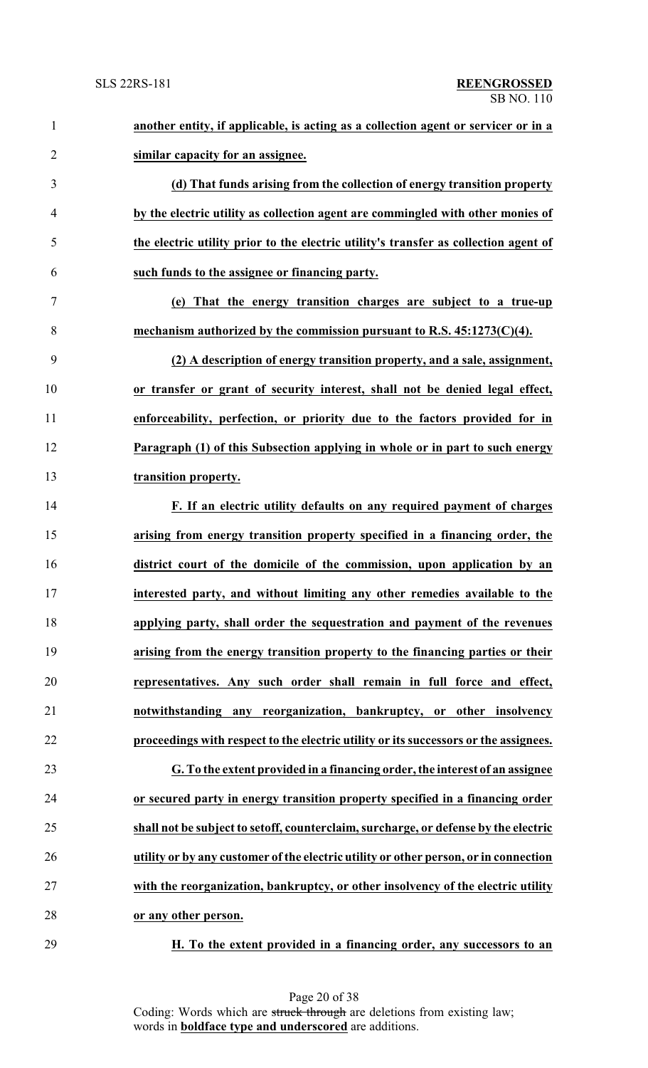| $\mathbf{1}$   | another entity, if applicable, is acting as a collection agent or servicer or in a   |
|----------------|--------------------------------------------------------------------------------------|
| $\overline{2}$ | similar capacity for an assignee.                                                    |
| 3              | (d) That funds arising from the collection of energy transition property             |
| $\overline{4}$ | by the electric utility as collection agent are commingled with other monies of      |
| 5              | the electric utility prior to the electric utility's transfer as collection agent of |
| 6              | such funds to the assignee or financing party.                                       |
| $\tau$         | (e) That the energy transition charges are subject to a true-up                      |
| 8              | mechanism authorized by the commission pursuant to R.S. $45:1273(C)(4)$ .            |
| 9              | (2) A description of energy transition property, and a sale, assignment,             |
| 10             | or transfer or grant of security interest, shall not be denied legal effect,         |
| 11             | enforceability, perfection, or priority due to the factors provided for in           |
| 12             | Paragraph (1) of this Subsection applying in whole or in part to such energy         |
| 13             | transition property.                                                                 |
| 14             | F. If an electric utility defaults on any required payment of charges                |
| 15             | arising from energy transition property specified in a financing order, the          |
| 16             | district court of the domicile of the commission, upon application by an             |
| 17             | interested party, and without limiting any other remedies available to the           |
| 18             | applying party, shall order the sequestration and payment of the revenues            |
| 19             | arising from the energy transition property to the financing parties or their        |
| 20             | representatives. Any such order shall remain in full force and effect,               |
| 21             | notwithstanding any reorganization, bankruptcy, or other insolvency                  |
| 22             | proceedings with respect to the electric utility or its successors or the assignees. |
| 23             | G. To the extent provided in a financing order, the interest of an assignee          |
| 24             | or secured party in energy transition property specified in a financing order        |
| 25             | shall not be subject to setoff, counterclaim, surcharge, or defense by the electric  |
| 26             | utility or by any customer of the electric utility or other person, or in connection |
| 27             | with the reorganization, bankruptcy, or other insolvency of the electric utility     |
| 28             | or any other person.                                                                 |
|                |                                                                                      |

**H. To the extent provided in a financing order, any successors to an**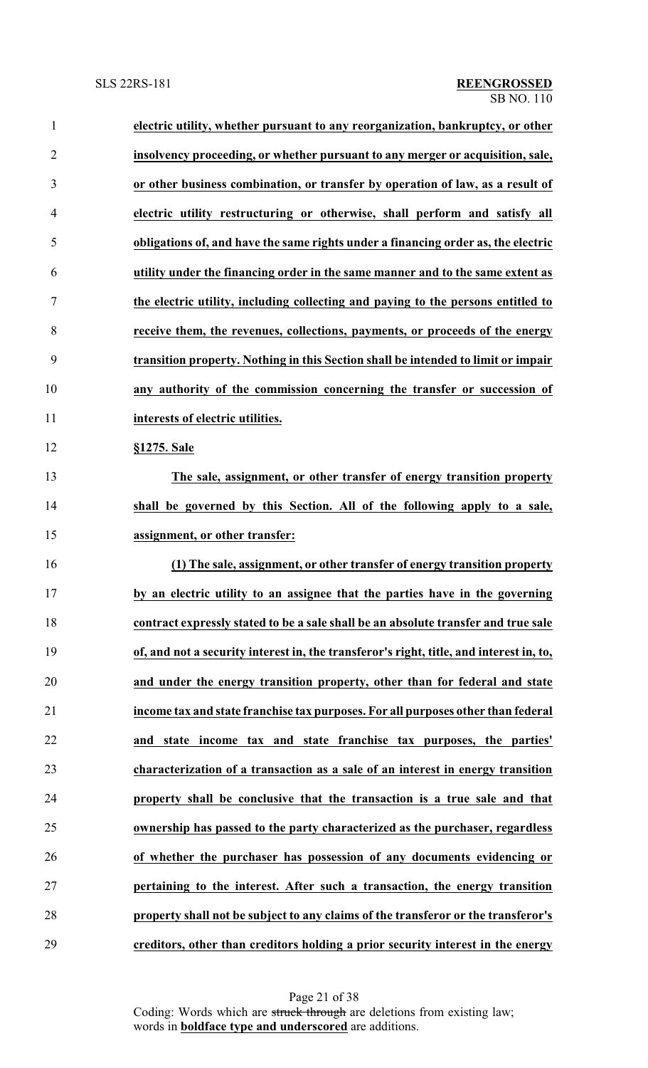| $\mathbf{1}$   | electric utility, whether pursuant to any reorganization, bankruptcy, or other          |
|----------------|-----------------------------------------------------------------------------------------|
| $\overline{2}$ | insolvency proceeding, or whether pursuant to any merger or acquisition, sale,          |
| 3              | or other business combination, or transfer by operation of law, as a result of          |
| $\overline{4}$ | electric utility restructuring or otherwise, shall perform and satisfy all              |
| 5              | obligations of, and have the same rights under a financing order as, the electric       |
| 6              | utility under the financing order in the same manner and to the same extent as          |
| 7              | the electric utility, including collecting and paying to the persons entitled to        |
| 8              | receive them, the revenues, collections, payments, or proceeds of the energy            |
| 9              | transition property. Nothing in this Section shall be intended to limit or impair       |
| 10             | any authority of the commission concerning the transfer or succession of                |
| 11             | interests of electric utilities.                                                        |
| 12             | §1275. Sale                                                                             |
| 13             | The sale, assignment, or other transfer of energy transition property                   |
| 14             | shall be governed by this Section. All of the following apply to a sale,                |
| 15             | assignment, or other transfer:                                                          |
| 16             | (1) The sale, assignment, or other transfer of energy transition property               |
| 17             | by an electric utility to an assignee that the parties have in the governing            |
| 18             | contract expressly stated to be a sale shall be an absolute transfer and true sale      |
| 19             | of, and not a security interest in, the transferor's right, title, and interest in, to, |
| 20             | and under the energy transition property, other than for federal and state              |
| 21             | income tax and state franchise tax purposes. For all purposes other than federal        |
| 22             | and state income tax and state franchise tax purposes, the parties'                     |
| 23             | characterization of a transaction as a sale of an interest in energy transition         |
| 24             | property shall be conclusive that the transaction is a true sale and that               |
| 25             | ownership has passed to the party characterized as the purchaser, regardless            |
| 26             | of whether the purchaser has possession of any documents evidencing or                  |
| 27             | pertaining to the interest. After such a transaction, the energy transition             |
| 28             | property shall not be subject to any claims of the transferor or the transferor's       |
| 29             | creditors, other than creditors holding a prior security interest in the energy         |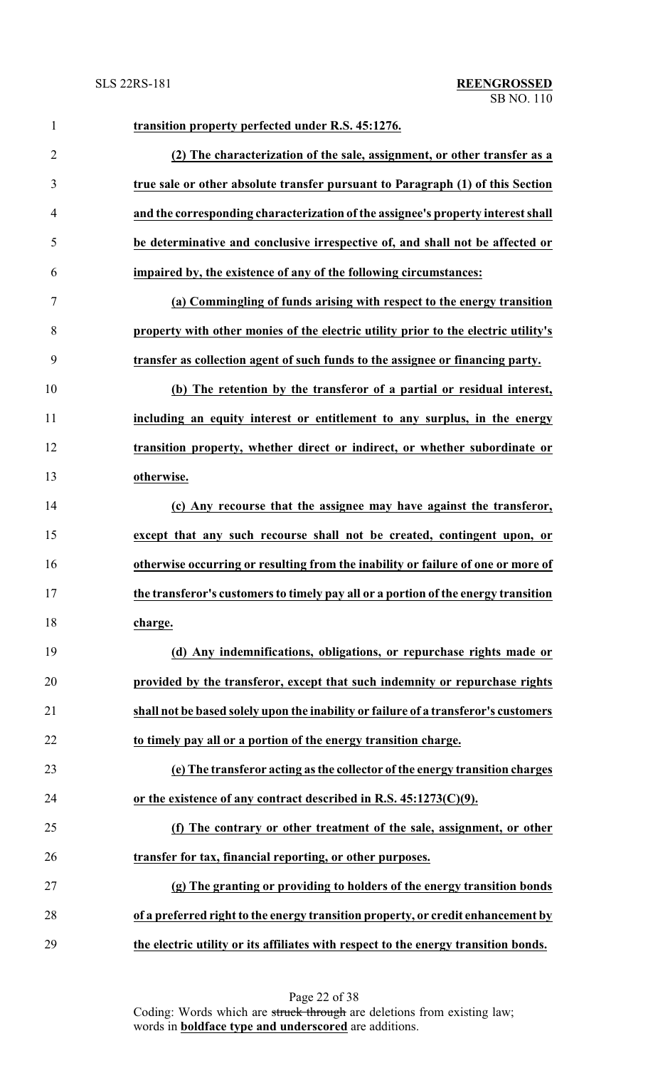| $\mathbf{1}$   | transition property perfected under R.S. 45:1276.                                   |
|----------------|-------------------------------------------------------------------------------------|
| $\overline{2}$ | (2) The characterization of the sale, assignment, or other transfer as a            |
| 3              | true sale or other absolute transfer pursuant to Paragraph (1) of this Section      |
| $\overline{4}$ | and the corresponding characterization of the assignee's property interest shall    |
| 5              | be determinative and conclusive irrespective of, and shall not be affected or       |
| 6              | impaired by, the existence of any of the following circumstances:                   |
| 7              | (a) Commingling of funds arising with respect to the energy transition              |
| 8              | property with other monies of the electric utility prior to the electric utility's  |
| 9              | transfer as collection agent of such funds to the assignee or financing party.      |
| 10             | (b) The retention by the transferor of a partial or residual interest,              |
| 11             | including an equity interest or entitlement to any surplus, in the energy           |
| 12             | transition property, whether direct or indirect, or whether subordinate or          |
| 13             | otherwise.                                                                          |
| 14             | (c) Any recourse that the assignee may have against the transferor,                 |
| 15             | except that any such recourse shall not be created, contingent upon, or             |
| 16             | otherwise occurring or resulting from the inability or failure of one or more of    |
| 17             | the transferor's customers to timely pay all or a portion of the energy transition  |
| 18             | charge.                                                                             |
| 19             | (d) Any indemnifications, obligations, or repurchase rights made or                 |
| 20             | provided by the transferor, except that such indemnity or repurchase rights         |
| 21             | shall not be based solely upon the inability or failure of a transferor's customers |
| 22             | to timely pay all or a portion of the energy transition charge.                     |
| 23             | (e) The transferor acting as the collector of the energy transition charges         |
| 24             | or the existence of any contract described in R.S. $45:1273(C)(9)$ .                |
| 25             | (f) The contrary or other treatment of the sale, assignment, or other               |
| 26             | transfer for tax, financial reporting, or other purposes.                           |
| 27             | (g) The granting or providing to holders of the energy transition bonds             |
| 28             | of a preferred right to the energy transition property, or credit enhancement by    |
| 29             | the electric utility or its affiliates with respect to the energy transition bonds. |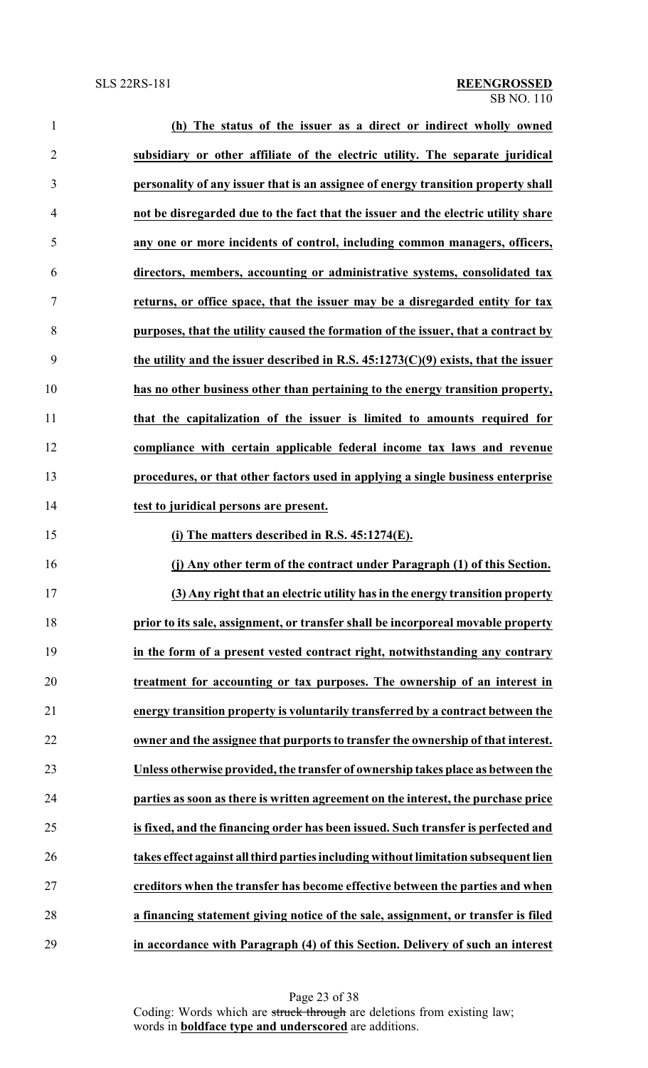| $\mathbf{1}$   | (h) The status of the issuer as a direct or indirect wholly owned                    |
|----------------|--------------------------------------------------------------------------------------|
| $\overline{2}$ | subsidiary or other affiliate of the electric utility. The separate juridical        |
| 3              | personality of any issuer that is an assignee of energy transition property shall    |
| $\overline{4}$ | not be disregarded due to the fact that the issuer and the electric utility share    |
| 5              | any one or more incidents of control, including common managers, officers,           |
| 6              | directors, members, accounting or administrative systems, consolidated tax           |
| 7              | returns, or office space, that the issuer may be a disregarded entity for tax        |
| 8              | purposes, that the utility caused the formation of the issuer, that a contract by    |
| 9              | the utility and the issuer described in R.S. $45:1273(C)(9)$ exists, that the issuer |
| 10             | has no other business other than pertaining to the energy transition property,       |
| 11             | that the capitalization of the issuer is limited to amounts required for             |
| 12             | compliance with certain applicable federal income tax laws and revenue               |
| 13             | procedures, or that other factors used in applying a single business enterprise      |
| 14             | test to juridical persons are present.                                               |
| 15             | (i) The matters described in R.S. 45:1274(E).                                        |
| 16             | (j) Any other term of the contract under Paragraph (1) of this Section.              |
| 17             | (3) Any right that an electric utility has in the energy transition property         |
| 18             | prior to its sale, assignment, or transfer shall be incorporeal movable property     |
| 19             | in the form of a present vested contract right, notwithstanding any contrary         |
| 20             | treatment for accounting or tax purposes. The ownership of an interest in            |
| 21             | energy transition property is voluntarily transferred by a contract between the      |
| 22             | owner and the assignee that purports to transfer the ownership of that interest.     |
| 23             | Unless otherwise provided, the transfer of ownership takes place as between the      |
| 24             | parties as soon as there is written agreement on the interest, the purchase price    |
| 25             | is fixed, and the financing order has been issued. Such transfer is perfected and    |
| 26             | takes effect against all third parties including without limitation subsequent lien  |
| 27             | creditors when the transfer has become effective between the parties and when        |
| 28             | a financing statement giving notice of the sale, assignment, or transfer is filed    |
| 29             | in accordance with Paragraph (4) of this Section. Delivery of such an interest       |

Page 23 of 38 Coding: Words which are struck through are deletions from existing law; words in **boldface type and underscored** are additions.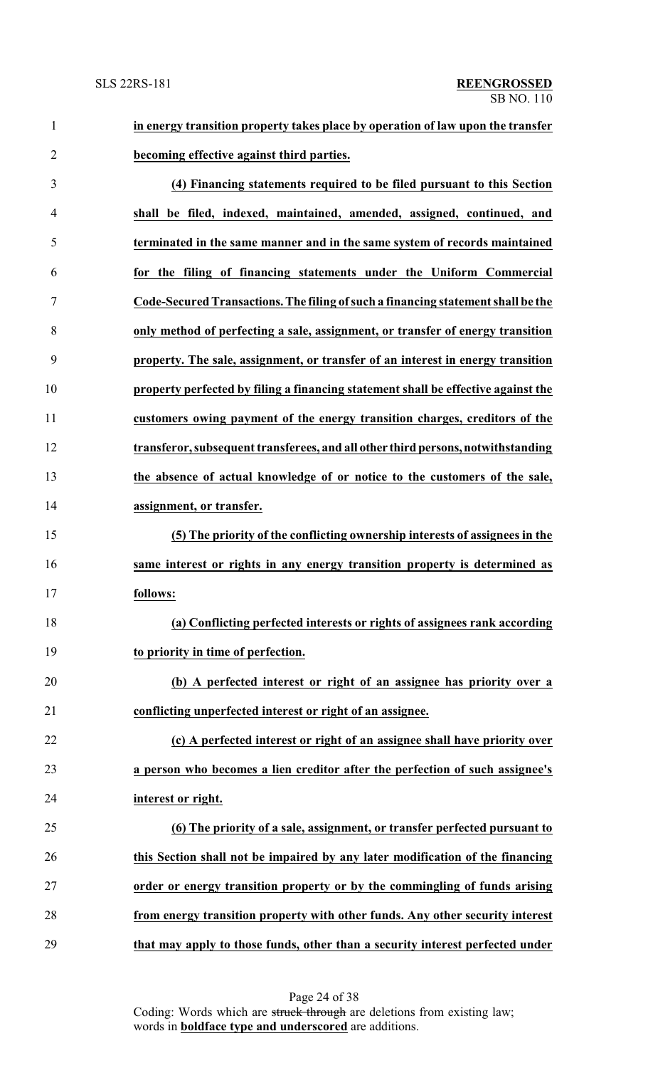**in energy transition property takes place by operation of law upon the transfer becoming effective against third parties.**

 **(4) Financing statements required to be filed pursuant to this Section shall be filed, indexed, maintained, amended, assigned, continued, and terminated in the same manner and in the same system of records maintained for the filing of financing statements under the Uniform Commercial Code-Secured Transactions.The filing ofsuch a financing statement shall be the only method of perfecting a sale, assignment, or transfer of energy transition property. The sale, assignment, or transfer of an interest in energy transition property perfected by filing a financing statement shall be effective against the customers owing payment of the energy transition charges, creditors of the transferor, subsequent transferees, and all other third persons,notwithstanding the absence of actual knowledge of or notice to the customers of the sale, assignment, or transfer. (5) The priority of the conflicting ownership interests of assignees in the same interest or rights in any energy transition property is determined as follows: (a) Conflicting perfected interests or rights of assignees rank according to priority in time of perfection.**

 **(b) A perfected interest or right of an assignee has priority over a conflicting unperfected interest or right of an assignee.**

 **(c) A perfected interest or right of an assignee shall have priority over a person who becomes a lien creditor after the perfection of such assignee's interest or right.**

 **(6) The priority of a sale, assignment, or transfer perfected pursuant to this Section shall not be impaired by any later modification of the financing order or energy transition property or by the commingling of funds arising from energy transition property with other funds. Any other security interest that may apply to those funds, other than a security interest perfected under**

Page 24 of 38

Coding: Words which are struck through are deletions from existing law; words in **boldface type and underscored** are additions.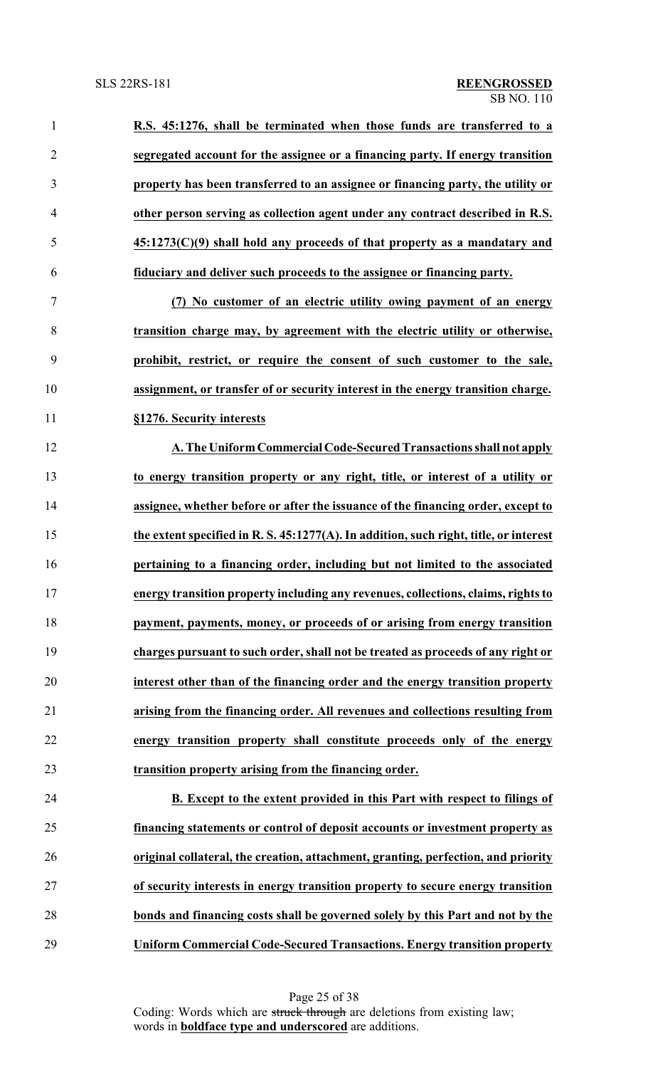**R.S. 45:1276, shall be terminated when those funds are transferred to a segregated account for the assignee or a financing party. If energy transition property has been transferred to an assignee or financing party, the utility or other person serving as collection agent under any contract described in R.S. 45:1273(C)(9) shall hold any proceeds of that property as a mandatary and fiduciary and deliver such proceeds to the assignee or financing party. (7) No customer of an electric utility owing payment of an energy transition charge may, by agreement with the electric utility or otherwise, prohibit, restrict, or require the consent of such customer to the sale, assignment, or transfer of or security interest in the energy transition charge. §1276. Security interests A. The UniformCommercial Code-Secured Transactions shall not apply to energy transition property or any right, title, or interest of a utility or assignee, whether before or after the issuance of the financing order, except to the extent specified in R. S. 45:1277(A). In addition, such right, title, or interest pertaining to a financing order, including but not limited to the associated energy transition property including any revenues, collections, claims, rights to payment, payments, money, or proceeds of or arising from energy transition charges pursuant to such order, shall not be treated as proceeds of any right or interest other than of the financing order and the energy transition property arising from the financing order. All revenues and collections resulting from energy transition property shall constitute proceeds only of the energy transition property arising from the financing order. B. Except to the extent provided in this Part with respect to filings of financing statements or control of deposit accounts or investment property as original collateral, the creation, attachment, granting, perfection, and priority**

 **of security interests in energy transition property to secure energy transition bonds and financing costs shall be governed solely by this Part and not by the Uniform Commercial Code-Secured Transactions. Energy transition property**

> Page 25 of 38 Coding: Words which are struck through are deletions from existing law; words in **boldface type and underscored** are additions.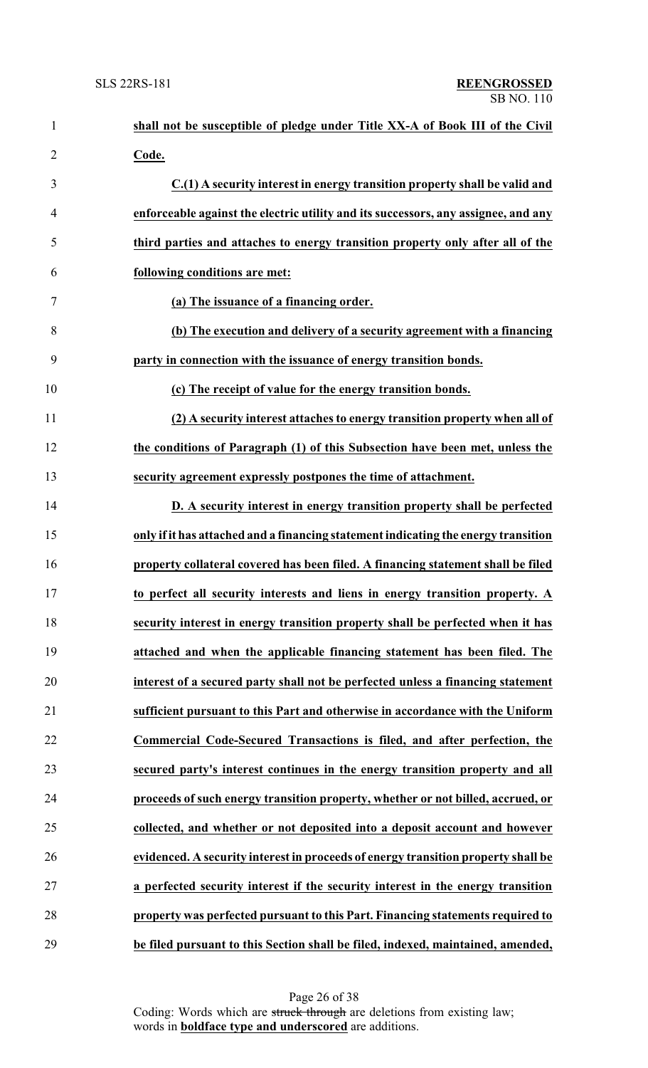| $\mathbf{1}$   | shall not be susceptible of pledge under Title XX-A of Book III of the Civil       |
|----------------|------------------------------------------------------------------------------------|
| $\overline{2}$ | Code.                                                                              |
| 3              | C.(1) A security interest in energy transition property shall be valid and         |
| $\overline{4}$ | enforceable against the electric utility and its successors, any assignee, and any |
| 5              | third parties and attaches to energy transition property only after all of the     |
| 6              | following conditions are met:                                                      |
| 7              | (a) The issuance of a financing order.                                             |
| 8              | (b) The execution and delivery of a security agreement with a financing            |
| 9              | party in connection with the issuance of energy transition bonds.                  |
| 10             | (c) The receipt of value for the energy transition bonds.                          |
| 11             | (2) A security interest attaches to energy transition property when all of         |
| 12             | the conditions of Paragraph (1) of this Subsection have been met, unless the       |
| 13             | security agreement expressly postpones the time of attachment.                     |
| 14             | D. A security interest in energy transition property shall be perfected            |
| 15             | only if it has attached and a financing statement indicating the energy transition |
| 16             | property collateral covered has been filed. A financing statement shall be filed   |
| 17             | to perfect all security interests and liens in energy transition property. A       |
| 18             | security interest in energy transition property shall be perfected when it has     |
| 19             | attached and when the applicable financing statement has been filed. The           |
| 20             | interest of a secured party shall not be perfected unless a financing statement    |
| 21             | sufficient pursuant to this Part and otherwise in accordance with the Uniform      |
| 22             | Commercial Code-Secured Transactions is filed, and after perfection, the           |
| 23             | secured party's interest continues in the energy transition property and all       |
| 24             | proceeds of such energy transition property, whether or not billed, accrued, or    |
| 25             | collected, and whether or not deposited into a deposit account and however         |
| 26             | evidenced. A security interest in proceeds of energy transition property shall be  |
| 27             | a perfected security interest if the security interest in the energy transition    |
| 28             | property was perfected pursuant to this Part. Financing statements required to     |
| 29             | be filed pursuant to this Section shall be filed, indexed, maintained, amended,    |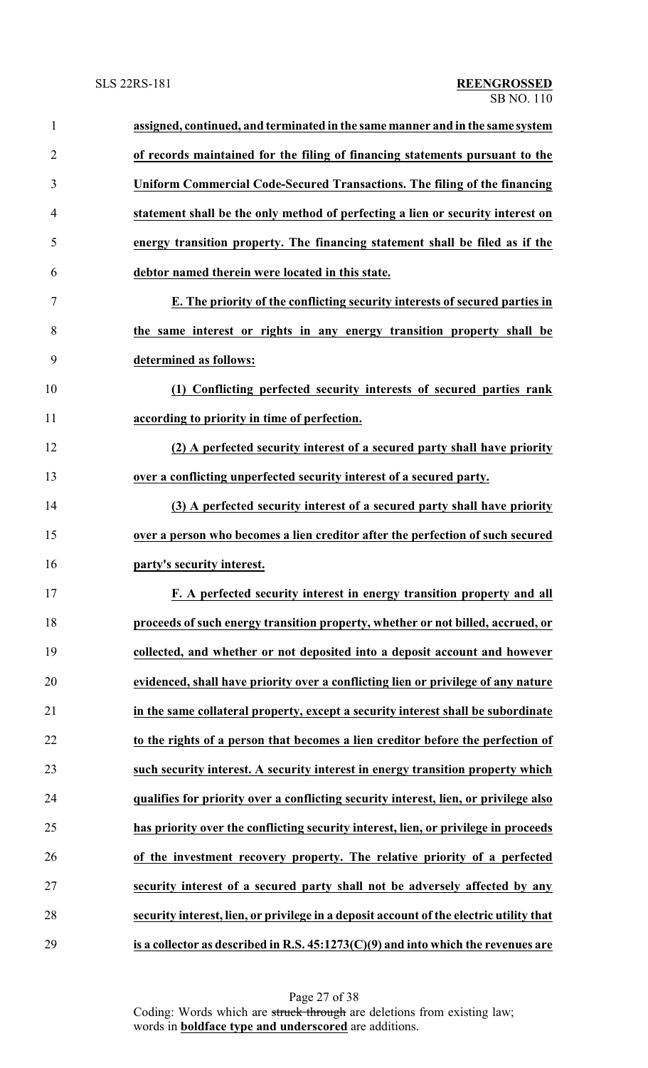| $\mathbf{1}$   | assigned, continued, and terminated in the same manner and in the same system           |
|----------------|-----------------------------------------------------------------------------------------|
| $\overline{2}$ | of records maintained for the filing of financing statements pursuant to the            |
| 3              | Uniform Commercial Code-Secured Transactions. The filing of the financing               |
| $\overline{4}$ | statement shall be the only method of perfecting a lien or security interest on         |
| 5              | energy transition property. The financing statement shall be filed as if the            |
| 6              | debtor named therein were located in this state.                                        |
| 7              | E. The priority of the conflicting security interests of secured parties in             |
| 8              | the same interest or rights in any energy transition property shall be                  |
| 9              | determined as follows:                                                                  |
| 10             | (1) Conflicting perfected security interests of secured parties rank                    |
| 11             | according to priority in time of perfection.                                            |
| 12             | (2) A perfected security interest of a secured party shall have priority                |
| 13             | over a conflicting unperfected security interest of a secured party.                    |
| 14             | (3) A perfected security interest of a secured party shall have priority                |
| 15             | over a person who becomes a lien creditor after the perfection of such secured          |
| 16             | party's security interest.                                                              |
| 17             | F. A perfected security interest in energy transition property and all                  |
| 18             | proceeds of such energy transition property, whether or not billed, accrued, or         |
| 19             | collected, and whether or not deposited into a deposit account and however              |
| 20             | evidenced, shall have priority over a conflicting lien or privilege of any nature       |
| 21             | in the same collateral property, except a security interest shall be subordinate        |
| 22             | to the rights of a person that becomes a lien creditor before the perfection of         |
| 23             | such security interest. A security interest in energy transition property which         |
| 24             | qualifies for priority over a conflicting security interest, lien, or privilege also    |
| 25             | has priority over the conflicting security interest, lien, or privilege in proceeds     |
| 26             | of the investment recovery property. The relative priority of a perfected               |
| 27             | security interest of a secured party shall not be adversely affected by any             |
| 28             | security interest, lien, or privilege in a deposit account of the electric utility that |
| 29             | is a collector as described in R.S. $45:1273(C)(9)$ and into which the revenues are     |

Page 27 of 38 Coding: Words which are struck through are deletions from existing law; words in **boldface type and underscored** are additions.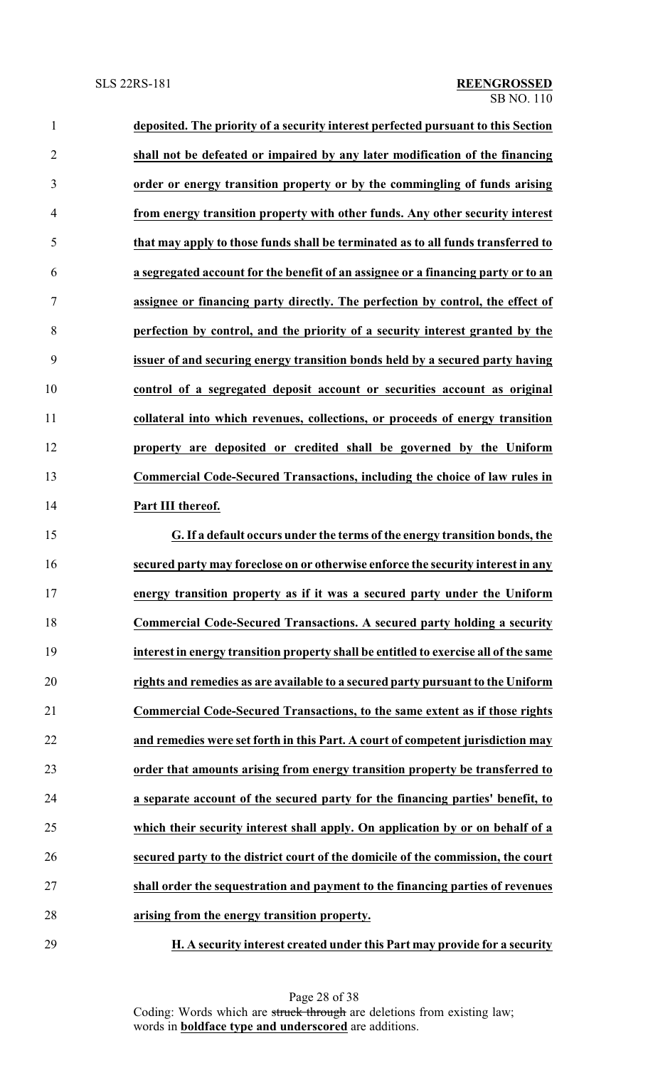| $\mathbf{1}$   | deposited. The priority of a security interest perfected pursuant to this Section    |
|----------------|--------------------------------------------------------------------------------------|
| $\overline{2}$ | shall not be defeated or impaired by any later modification of the financing         |
| 3              | order or energy transition property or by the commingling of funds arising           |
| $\overline{4}$ | from energy transition property with other funds. Any other security interest        |
| 5              | that may apply to those funds shall be terminated as to all funds transferred to     |
| 6              | a segregated account for the benefit of an assignee or a financing party or to an    |
| 7              | assignee or financing party directly. The perfection by control, the effect of       |
| 8              | perfection by control, and the priority of a security interest granted by the        |
| 9              | issuer of and securing energy transition bonds held by a secured party having        |
| 10             | control of a segregated deposit account or securities account as original            |
| 11             | collateral into which revenues, collections, or proceeds of energy transition        |
| 12             | property are deposited or credited shall be governed by the Uniform                  |
| 13             | Commercial Code-Secured Transactions, including the choice of law rules in           |
| 14             | Part III thereof.                                                                    |
| 15             | G. If a default occurs under the terms of the energy transition bonds, the           |
| 16             | secured party may foreclose on or otherwise enforce the security interest in any     |
|                | energy transition property as if it was a secured party under the Uniform            |
| 18             | Commercial Code-Secured Transactions. A secured party holding a security             |
| 19             | interest in energy transition property shall be entitled to exercise all of the same |
| 20             | rights and remedies as are available to a secured party pursuant to the Uniform      |
| 21             | Commercial Code-Secured Transactions, to the same extent as if those rights          |
| 22             | and remedies were set forth in this Part. A court of competent jurisdiction may      |
| 23             | order that amounts arising from energy transition property be transferred to         |
| 24             | a separate account of the secured party for the financing parties' benefit, to       |
| 25             | which their security interest shall apply. On application by or on behalf of a       |
| 26             | secured party to the district court of the domicile of the commission, the court     |
| 27             | shall order the sequestration and payment to the financing parties of revenues       |
|                |                                                                                      |

**H. A security interest created under this Part may provide for a security**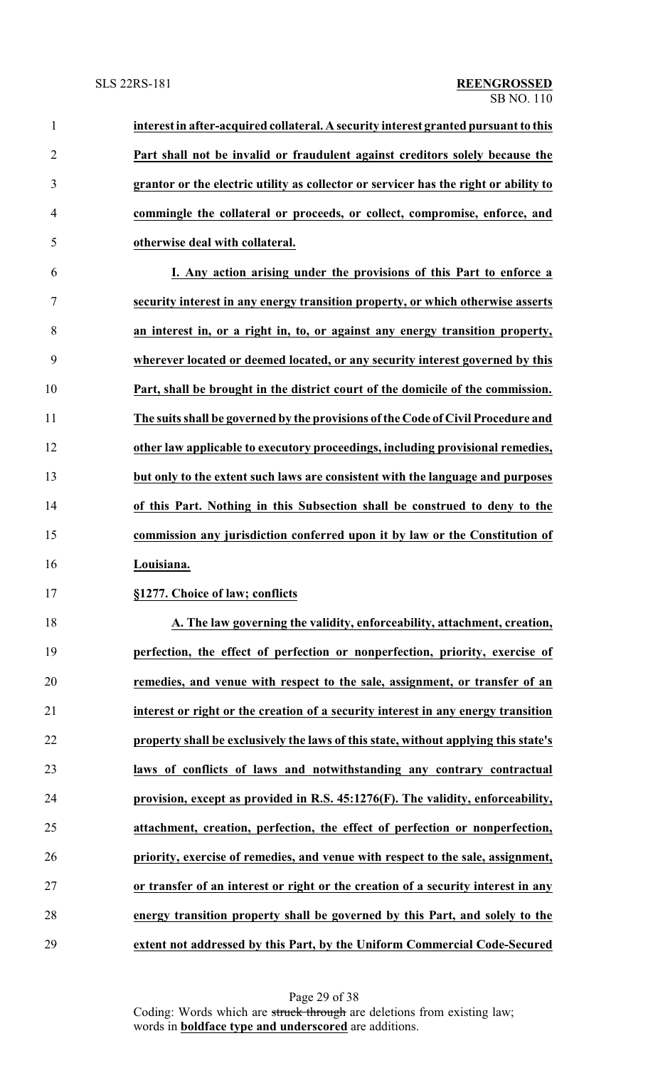| $\mathbf{1}$   | interest in after-acquired collateral. A security interest granted pursuant to this  |
|----------------|--------------------------------------------------------------------------------------|
| $\overline{2}$ | Part shall not be invalid or fraudulent against creditors solely because the         |
| 3              | grantor or the electric utility as collector or servicer has the right or ability to |
| 4              | commingle the collateral or proceeds, or collect, compromise, enforce, and           |
| 5              | otherwise deal with collateral.                                                      |
| 6              | I. Any action arising under the provisions of this Part to enforce a                 |
| 7              | security interest in any energy transition property, or which otherwise asserts      |
| 8              | an interest in, or a right in, to, or against any energy transition property,        |
| 9              | wherever located or deemed located, or any security interest governed by this        |
| 10             | Part, shall be brought in the district court of the domicile of the commission.      |
| 11             | The suits shall be governed by the provisions of the Code of Civil Procedure and     |
| 12             | other law applicable to executory proceedings, including provisional remedies,       |
| 13             | but only to the extent such laws are consistent with the language and purposes       |
| 14             | of this Part. Nothing in this Subsection shall be construed to deny to the           |
| 15             | commission any jurisdiction conferred upon it by law or the Constitution of          |
| 16             | Louisiana.                                                                           |
| 17             | §1277. Choice of law; conflicts                                                      |
| 18             | A. The law governing the validity, enforceability, attachment, creation,             |
| 19             | perfection, the effect of perfection or nonperfection, priority, exercise of         |
| 20             | remedies, and venue with respect to the sale, assignment, or transfer of an          |
| 21             | interest or right or the creation of a security interest in any energy transition    |
| 22             | property shall be exclusively the laws of this state, without applying this state's  |
| 23             | laws of conflicts of laws and notwithstanding any contrary contractual               |
| 24             | provision, except as provided in R.S. 45:1276(F). The validity, enforceability,      |
| 25             | attachment, creation, perfection, the effect of perfection or nonperfection,         |
| 26             | priority, exercise of remedies, and venue with respect to the sale, assignment,      |
| 27             | or transfer of an interest or right or the creation of a security interest in any    |
| 28             | energy transition property shall be governed by this Part, and solely to the         |
| 29             | extent not addressed by this Part, by the Uniform Commercial Code-Secured            |

Page 29 of 38 Coding: Words which are struck through are deletions from existing law; words in **boldface type and underscored** are additions.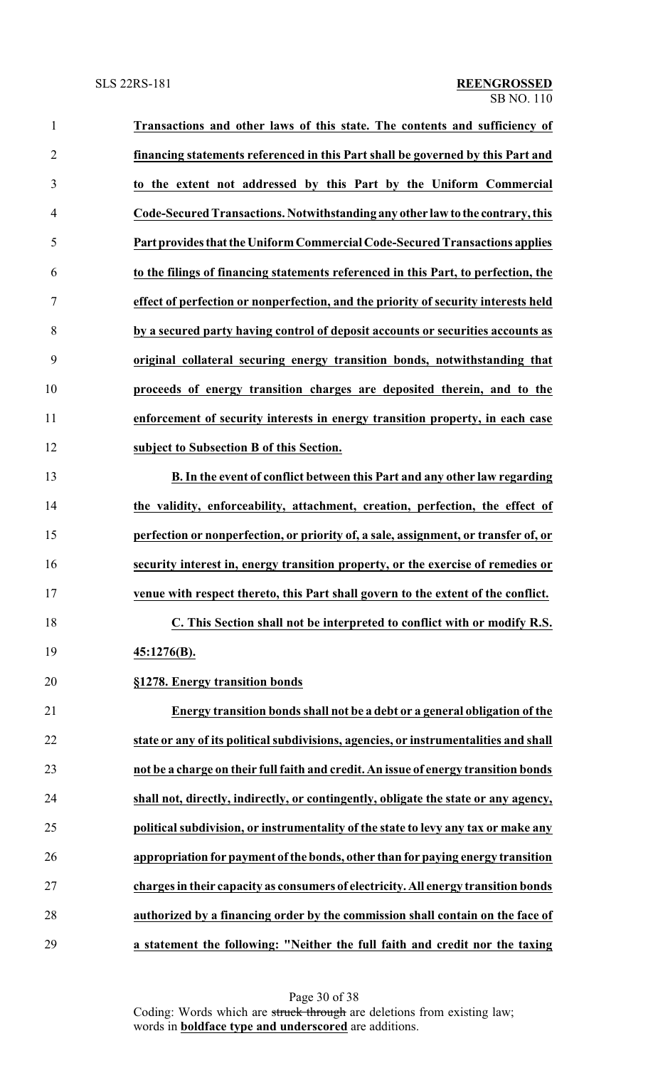| $\mathbf{1}$   | Transactions and other laws of this state. The contents and sufficiency of           |
|----------------|--------------------------------------------------------------------------------------|
| $\overline{2}$ | financing statements referenced in this Part shall be governed by this Part and      |
| 3              | to the extent not addressed by this Part by the Uniform Commercial                   |
| $\overline{4}$ | Code-Secured Transactions. Notwithstanding any other law to the contrary, this       |
| 5              | Part provides that the Uniform Commercial Code-Secured Transactions applies          |
| 6              | to the filings of financing statements referenced in this Part, to perfection, the   |
| 7              | effect of perfection or nonperfection, and the priority of security interests held   |
| 8              | by a secured party having control of deposit accounts or securities accounts as      |
| 9              | original collateral securing energy transition bonds, notwithstanding that           |
| 10             | proceeds of energy transition charges are deposited therein, and to the              |
| 11             | enforcement of security interests in energy transition property, in each case        |
| 12             | subject to Subsection B of this Section.                                             |
| 13             | B. In the event of conflict between this Part and any other law regarding            |
| 14             | the validity, enforceability, attachment, creation, perfection, the effect of        |
| 15             | perfection or nonperfection, or priority of, a sale, assignment, or transfer of, or  |
| 16             | security interest in, energy transition property, or the exercise of remedies or     |
| 17             | venue with respect thereto, this Part shall govern to the extent of the conflict.    |
| 18             | C. This Section shall not be interpreted to conflict with or modify R.S.             |
| 19             | 45:1276(B).                                                                          |
| 20             | §1278. Energy transition bonds                                                       |
| 21             | Energy transition bonds shall not be a debt or a general obligation of the           |
| 22             | state or any of its political subdivisions, agencies, or instrumentalities and shall |
| 23             | not be a charge on their full faith and credit. An issue of energy transition bonds  |
| 24             | shall not, directly, indirectly, or contingently, obligate the state or any agency,  |
| 25             | political subdivision, or instrumentality of the state to levy any tax or make any   |
| 26             | appropriation for payment of the bonds, other than for paying energy transition      |
| 27             | charges in their capacity as consumers of electricity. All energy transition bonds   |
| 28             | authorized by a financing order by the commission shall contain on the face of       |
| 29             | a statement the following: "Neither the full faith and credit nor the taxing         |

Page 30 of 38 Coding: Words which are struck through are deletions from existing law; words in **boldface type and underscored** are additions.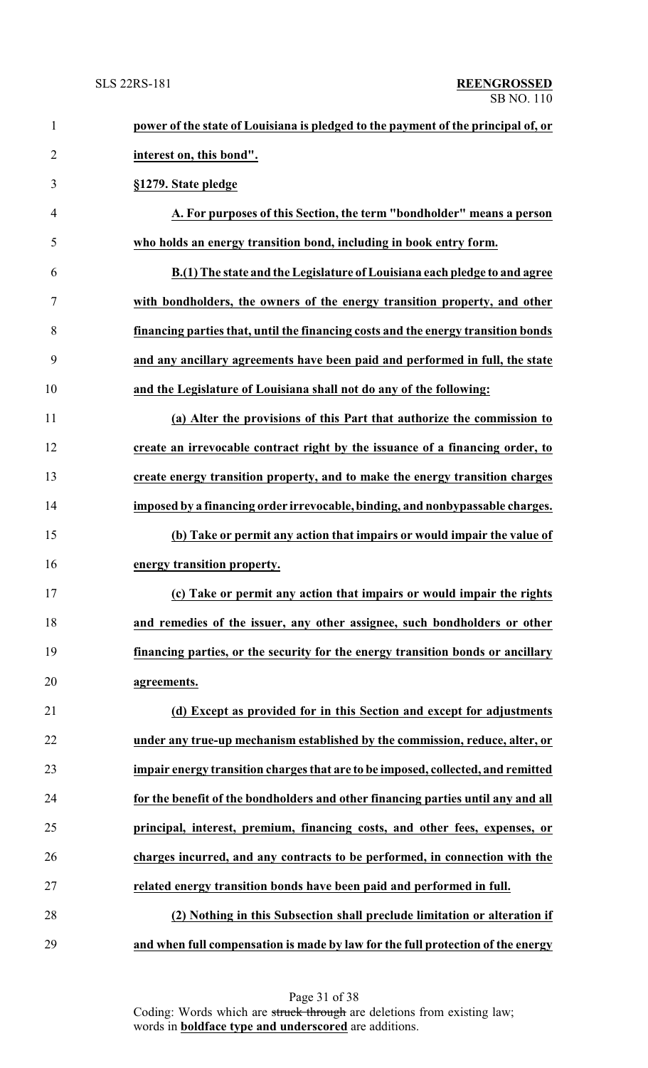| $\mathbf{1}$   | power of the state of Louisiana is pledged to the payment of the principal of, or |
|----------------|-----------------------------------------------------------------------------------|
| $\overline{2}$ | interest on, this bond".                                                          |
| 3              | §1279. State pledge                                                               |
| $\overline{4}$ | A. For purposes of this Section, the term "bondholder" means a person             |
| 5              | who holds an energy transition bond, including in book entry form.                |
| 6              | B.(1) The state and the Legislature of Louisiana each pledge to and agree         |
| $\tau$         | with bondholders, the owners of the energy transition property, and other         |
| 8              | financing parties that, until the financing costs and the energy transition bonds |
| 9              | and any ancillary agreements have been paid and performed in full, the state      |
| 10             | and the Legislature of Louisiana shall not do any of the following:               |
| 11             | (a) Alter the provisions of this Part that authorize the commission to            |
| 12             | create an irrevocable contract right by the issuance of a financing order, to     |
| 13             | create energy transition property, and to make the energy transition charges      |
| 14             | imposed by a financing order irrevocable, binding, and nonbypassable charges.     |
| 15             | (b) Take or permit any action that impairs or would impair the value of           |
| 16             | energy transition property.                                                       |
| 17             | (c) Take or permit any action that impairs or would impair the rights             |
| 18             | and remedies of the issuer, any other assignee, such bondholders or other         |
| 19             | financing parties, or the security for the energy transition bonds or ancillary   |
| 20             | agreements.                                                                       |
| 21             | (d) Except as provided for in this Section and except for adjustments             |
| 22             | under any true-up mechanism established by the commission, reduce, alter, or      |
| 23             | impair energy transition charges that are to be imposed, collected, and remitted  |
| 24             | for the benefit of the bondholders and other financing parties until any and all  |
| 25             | principal, interest, premium, financing costs, and other fees, expenses, or       |
| 26             | charges incurred, and any contracts to be performed, in connection with the       |
| 27             | related energy transition bonds have been paid and performed in full.             |
| 28             | (2) Nothing in this Subsection shall preclude limitation or alteration if         |
| 29             | and when full compensation is made by law for the full protection of the energy   |

Page 31 of 38 Coding: Words which are struck through are deletions from existing law; words in **boldface type and underscored** are additions.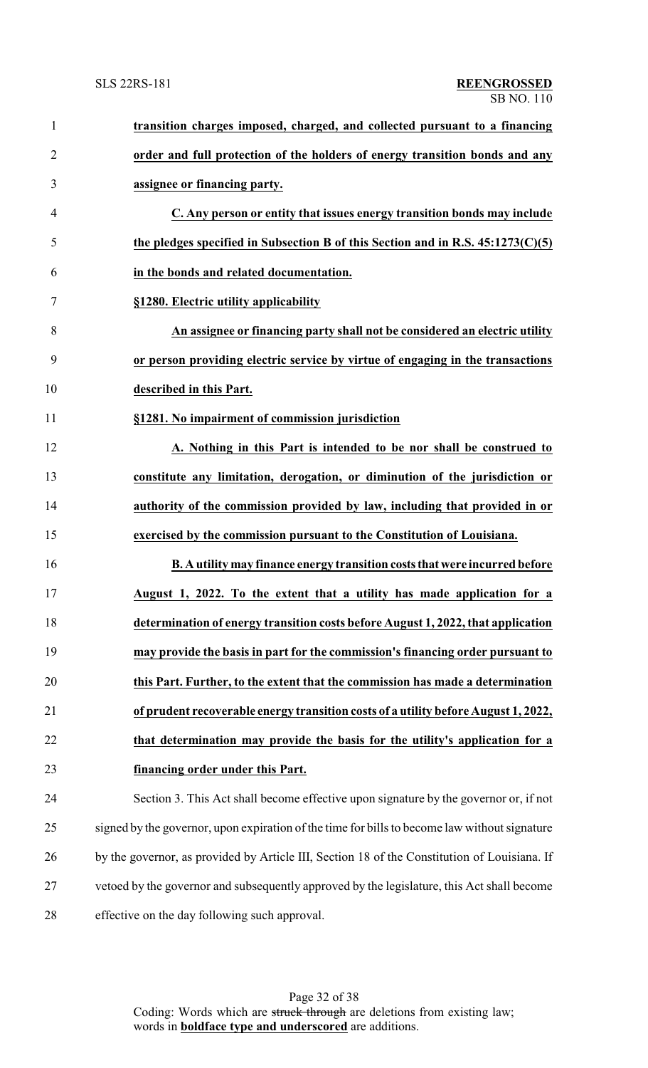| $\mathbf{1}$   | transition charges imposed, charged, and collected pursuant to a financing                    |
|----------------|-----------------------------------------------------------------------------------------------|
| $\overline{2}$ | order and full protection of the holders of energy transition bonds and any                   |
| 3              | assignee or financing party.                                                                  |
| 4              | C. Any person or entity that issues energy transition bonds may include                       |
| 5              | the pledges specified in Subsection B of this Section and in R.S. $45:1273(C)(5)$             |
| 6              | in the bonds and related documentation.                                                       |
| 7              | §1280. Electric utility applicability                                                         |
| 8              | An assignee or financing party shall not be considered an electric utility                    |
| 9              | or person providing electric service by virtue of engaging in the transactions                |
| 10             | described in this Part.                                                                       |
| 11             | §1281. No impairment of commission jurisdiction                                               |
| 12             | A. Nothing in this Part is intended to be nor shall be construed to                           |
| 13             | constitute any limitation, derogation, or diminution of the jurisdiction or                   |
| 14             | authority of the commission provided by law, including that provided in or                    |
| 15             | exercised by the commission pursuant to the Constitution of Louisiana.                        |
| 16             | B. A utility may finance energy transition costs that were incurred before                    |
| 17             | August 1, 2022. To the extent that a utility has made application for a                       |
| 18             | determination of energy transition costs before August 1, 2022, that application              |
| 19             | may provide the basis in part for the commission's financing order pursuant to                |
| 20             | this Part. Further, to the extent that the commission has made a determination                |
| 21             | of prudent recoverable energy transition costs of a utility before August 1, 2022,            |
| 22             | that determination may provide the basis for the utility's application for a                  |
| 23             | financing order under this Part.                                                              |
| 24             | Section 3. This Act shall become effective upon signature by the governor or, if not          |
| 25             | signed by the governor, upon expiration of the time for bills to become law without signature |
| 26             | by the governor, as provided by Article III, Section 18 of the Constitution of Louisiana. If  |
| 27             | vetoed by the governor and subsequently approved by the legislature, this Act shall become    |
| 28             | effective on the day following such approval.                                                 |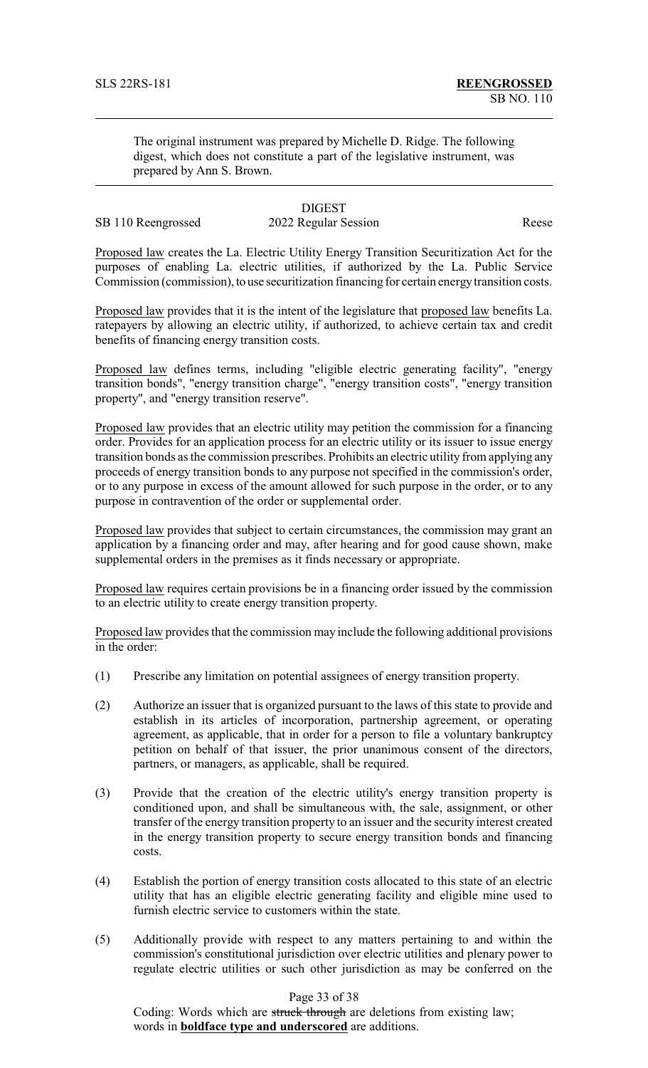The original instrument was prepared by Michelle D. Ridge. The following digest, which does not constitute a part of the legislative instrument, was prepared by Ann S. Brown.

# **DIGEST**

# SB 110 Reengrossed 2022 Regular Session Reese

Proposed law creates the La. Electric Utility Energy Transition Securitization Act for the purposes of enabling La. electric utilities, if authorized by the La. Public Service Commission (commission), to use securitization financing for certain energytransition costs.

Proposed law provides that it is the intent of the legislature that proposed law benefits La. ratepayers by allowing an electric utility, if authorized, to achieve certain tax and credit benefits of financing energy transition costs.

Proposed law defines terms, including "eligible electric generating facility", "energy transition bonds", "energy transition charge", "energy transition costs", "energy transition property", and "energy transition reserve".

Proposed law provides that an electric utility may petition the commission for a financing order. Provides for an application process for an electric utility or its issuer to issue energy transition bonds as the commission prescribes. Prohibits an electric utility from applying any proceeds of energy transition bonds to any purpose not specified in the commission's order, or to any purpose in excess of the amount allowed for such purpose in the order, or to any purpose in contravention of the order or supplemental order.

Proposed law provides that subject to certain circumstances, the commission may grant an application by a financing order and may, after hearing and for good cause shown, make supplemental orders in the premises as it finds necessary or appropriate.

Proposed law requires certain provisions be in a financing order issued by the commission to an electric utility to create energy transition property.

Proposed law provides that the commission may include the following additional provisions in the order:

- (1) Prescribe any limitation on potential assignees of energy transition property.
- (2) Authorize an issuer that is organized pursuant to the laws of this state to provide and establish in its articles of incorporation, partnership agreement, or operating agreement, as applicable, that in order for a person to file a voluntary bankruptcy petition on behalf of that issuer, the prior unanimous consent of the directors, partners, or managers, as applicable, shall be required.
- (3) Provide that the creation of the electric utility's energy transition property is conditioned upon, and shall be simultaneous with, the sale, assignment, or other transfer of the energy transition property to an issuer and the security interest created in the energy transition property to secure energy transition bonds and financing costs.
- (4) Establish the portion of energy transition costs allocated to this state of an electric utility that has an eligible electric generating facility and eligible mine used to furnish electric service to customers within the state.
- (5) Additionally provide with respect to any matters pertaining to and within the commission's constitutional jurisdiction over electric utilities and plenary power to regulate electric utilities or such other jurisdiction as may be conferred on the

#### Page 33 of 38

Coding: Words which are struck through are deletions from existing law; words in **boldface type and underscored** are additions.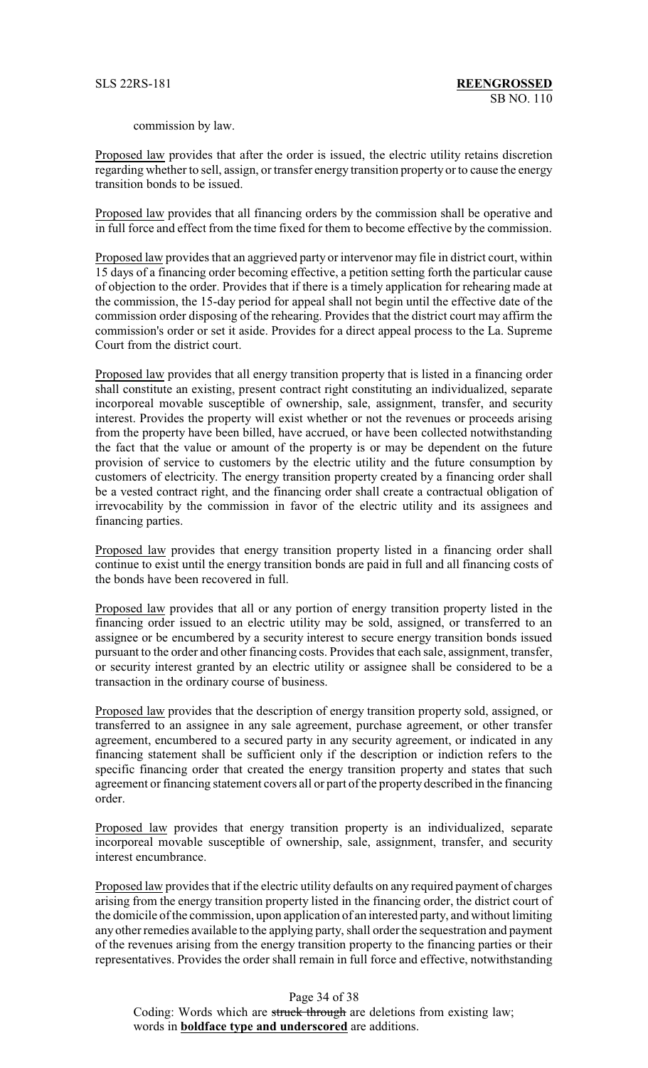commission by law.

Proposed law provides that after the order is issued, the electric utility retains discretion regarding whether to sell, assign, or transfer energy transition property or to cause the energy transition bonds to be issued.

Proposed law provides that all financing orders by the commission shall be operative and in full force and effect from the time fixed for them to become effective by the commission.

Proposed law provides that an aggrieved party or intervenor may file in district court, within 15 days of a financing order becoming effective, a petition setting forth the particular cause of objection to the order. Provides that if there is a timely application for rehearing made at the commission, the 15-day period for appeal shall not begin until the effective date of the commission order disposing of the rehearing. Provides that the district court may affirm the commission's order or set it aside. Provides for a direct appeal process to the La. Supreme Court from the district court.

Proposed law provides that all energy transition property that is listed in a financing order shall constitute an existing, present contract right constituting an individualized, separate incorporeal movable susceptible of ownership, sale, assignment, transfer, and security interest. Provides the property will exist whether or not the revenues or proceeds arising from the property have been billed, have accrued, or have been collected notwithstanding the fact that the value or amount of the property is or may be dependent on the future provision of service to customers by the electric utility and the future consumption by customers of electricity. The energy transition property created by a financing order shall be a vested contract right, and the financing order shall create a contractual obligation of irrevocability by the commission in favor of the electric utility and its assignees and financing parties.

Proposed law provides that energy transition property listed in a financing order shall continue to exist until the energy transition bonds are paid in full and all financing costs of the bonds have been recovered in full.

Proposed law provides that all or any portion of energy transition property listed in the financing order issued to an electric utility may be sold, assigned, or transferred to an assignee or be encumbered by a security interest to secure energy transition bonds issued pursuant to the order and other financing costs. Provides that each sale, assignment, transfer, or security interest granted by an electric utility or assignee shall be considered to be a transaction in the ordinary course of business.

Proposed law provides that the description of energy transition property sold, assigned, or transferred to an assignee in any sale agreement, purchase agreement, or other transfer agreement, encumbered to a secured party in any security agreement, or indicated in any financing statement shall be sufficient only if the description or indiction refers to the specific financing order that created the energy transition property and states that such agreement or financing statement covers all or part of the property described in the financing order.

Proposed law provides that energy transition property is an individualized, separate incorporeal movable susceptible of ownership, sale, assignment, transfer, and security interest encumbrance.

Proposed law provides that if the electric utility defaults on any required payment of charges arising from the energy transition property listed in the financing order, the district court of the domicile of the commission, upon application of an interested party, and without limiting any other remedies available to the applying party, shall order the sequestration and payment of the revenues arising from the energy transition property to the financing parties or their representatives. Provides the order shall remain in full force and effective, notwithstanding

Page 34 of 38

Coding: Words which are struck through are deletions from existing law; words in **boldface type and underscored** are additions.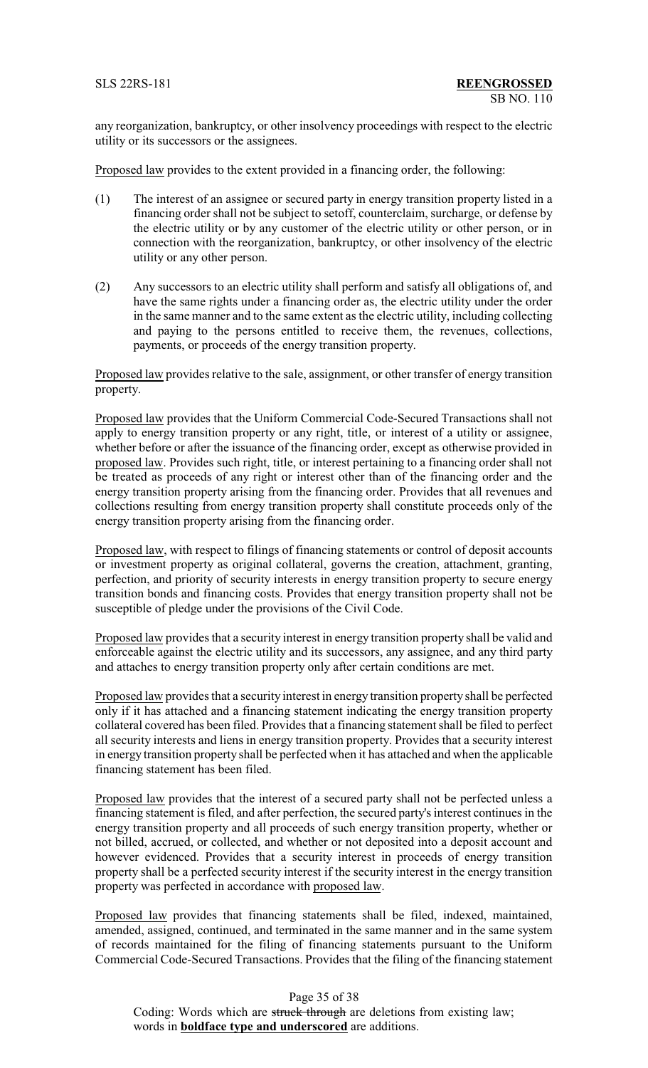any reorganization, bankruptcy, or other insolvency proceedings with respect to the electric utility or its successors or the assignees.

Proposed law provides to the extent provided in a financing order, the following:

- (1) The interest of an assignee or secured party in energy transition property listed in a financing order shall not be subject to setoff, counterclaim, surcharge, or defense by the electric utility or by any customer of the electric utility or other person, or in connection with the reorganization, bankruptcy, or other insolvency of the electric utility or any other person.
- (2) Any successors to an electric utility shall perform and satisfy all obligations of, and have the same rights under a financing order as, the electric utility under the order in the same manner and to the same extent as the electric utility, including collecting and paying to the persons entitled to receive them, the revenues, collections, payments, or proceeds of the energy transition property.

Proposed law provides relative to the sale, assignment, or other transfer of energy transition property.

Proposed law provides that the Uniform Commercial Code-Secured Transactions shall not apply to energy transition property or any right, title, or interest of a utility or assignee, whether before or after the issuance of the financing order, except as otherwise provided in proposed law. Provides such right, title, or interest pertaining to a financing order shall not be treated as proceeds of any right or interest other than of the financing order and the energy transition property arising from the financing order. Provides that all revenues and collections resulting from energy transition property shall constitute proceeds only of the energy transition property arising from the financing order.

Proposed law, with respect to filings of financing statements or control of deposit accounts or investment property as original collateral, governs the creation, attachment, granting, perfection, and priority of security interests in energy transition property to secure energy transition bonds and financing costs. Provides that energy transition property shall not be susceptible of pledge under the provisions of the Civil Code.

Proposed law provides that a security interest in energy transition property shall be valid and enforceable against the electric utility and its successors, any assignee, and any third party and attaches to energy transition property only after certain conditions are met.

Proposed law provides that a security interest in energy transition property shall be perfected only if it has attached and a financing statement indicating the energy transition property collateral covered has been filed. Provides that a financing statement shall be filed to perfect all security interests and liens in energy transition property. Provides that a security interest in energy transition property shall be perfected when it has attached and when the applicable financing statement has been filed.

Proposed law provides that the interest of a secured party shall not be perfected unless a financing statement is filed, and after perfection, the secured party's interest continues in the energy transition property and all proceeds of such energy transition property, whether or not billed, accrued, or collected, and whether or not deposited into a deposit account and however evidenced. Provides that a security interest in proceeds of energy transition property shall be a perfected security interest if the security interest in the energy transition property was perfected in accordance with proposed law.

Proposed law provides that financing statements shall be filed, indexed, maintained, amended, assigned, continued, and terminated in the same manner and in the same system of records maintained for the filing of financing statements pursuant to the Uniform Commercial Code-Secured Transactions. Provides that the filing of the financing statement

Page 35 of 38 Coding: Words which are struck through are deletions from existing law; words in **boldface type and underscored** are additions.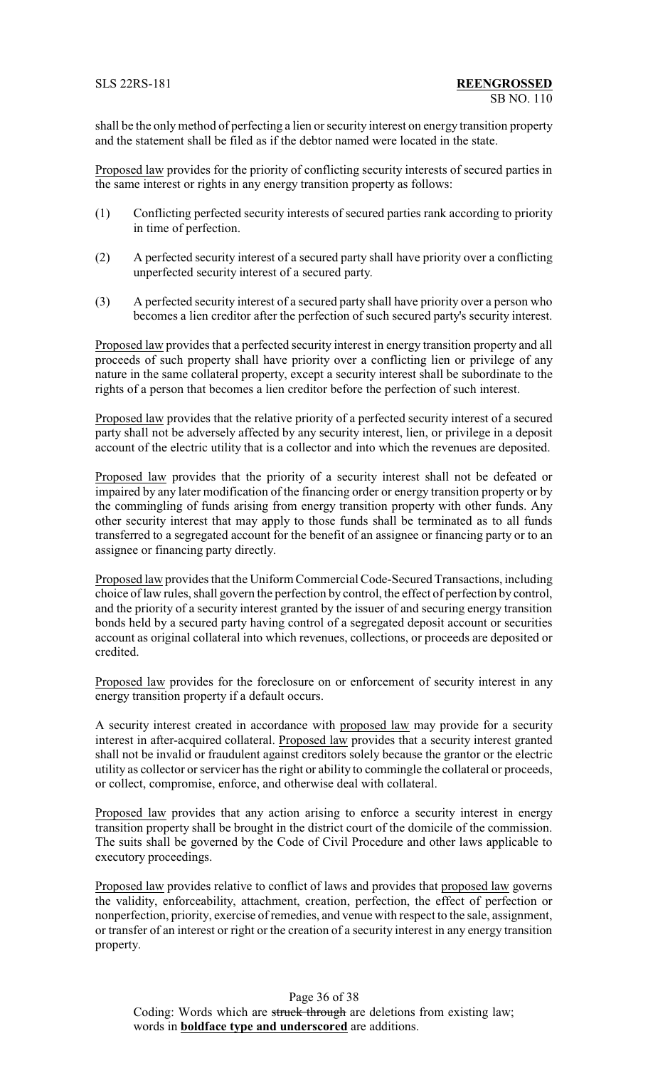shall be the onlymethod of perfecting a lien or security interest on energy transition property and the statement shall be filed as if the debtor named were located in the state.

Proposed law provides for the priority of conflicting security interests of secured parties in the same interest or rights in any energy transition property as follows:

- (1) Conflicting perfected security interests of secured parties rank according to priority in time of perfection.
- (2) A perfected security interest of a secured party shall have priority over a conflicting unperfected security interest of a secured party.
- (3) A perfected security interest of a secured party shall have priority over a person who becomes a lien creditor after the perfection of such secured party's security interest.

Proposed law provides that a perfected security interest in energy transition property and all proceeds of such property shall have priority over a conflicting lien or privilege of any nature in the same collateral property, except a security interest shall be subordinate to the rights of a person that becomes a lien creditor before the perfection of such interest.

Proposed law provides that the relative priority of a perfected security interest of a secured party shall not be adversely affected by any security interest, lien, or privilege in a deposit account of the electric utility that is a collector and into which the revenues are deposited.

Proposed law provides that the priority of a security interest shall not be defeated or impaired by any later modification of the financing order or energy transition property or by the commingling of funds arising from energy transition property with other funds. Any other security interest that may apply to those funds shall be terminated as to all funds transferred to a segregated account for the benefit of an assignee or financing party or to an assignee or financing party directly.

Proposed law provides that the Uniform Commercial Code-Secured Transactions, including choice of law rules, shall govern the perfection by control, the effect of perfection by control, and the priority of a security interest granted by the issuer of and securing energy transition bonds held by a secured party having control of a segregated deposit account or securities account as original collateral into which revenues, collections, or proceeds are deposited or credited.

Proposed law provides for the foreclosure on or enforcement of security interest in any energy transition property if a default occurs.

A security interest created in accordance with proposed law may provide for a security interest in after-acquired collateral. Proposed law provides that a security interest granted shall not be invalid or fraudulent against creditors solely because the grantor or the electric utility as collector or servicer has the right or ability to commingle the collateral or proceeds, or collect, compromise, enforce, and otherwise deal with collateral.

Proposed law provides that any action arising to enforce a security interest in energy transition property shall be brought in the district court of the domicile of the commission. The suits shall be governed by the Code of Civil Procedure and other laws applicable to executory proceedings.

Proposed law provides relative to conflict of laws and provides that proposed law governs the validity, enforceability, attachment, creation, perfection, the effect of perfection or nonperfection, priority, exercise of remedies, and venue with respect to the sale, assignment, or transfer of an interest or right or the creation of a security interest in any energy transition property.

Page 36 of 38 Coding: Words which are struck through are deletions from existing law; words in **boldface type and underscored** are additions.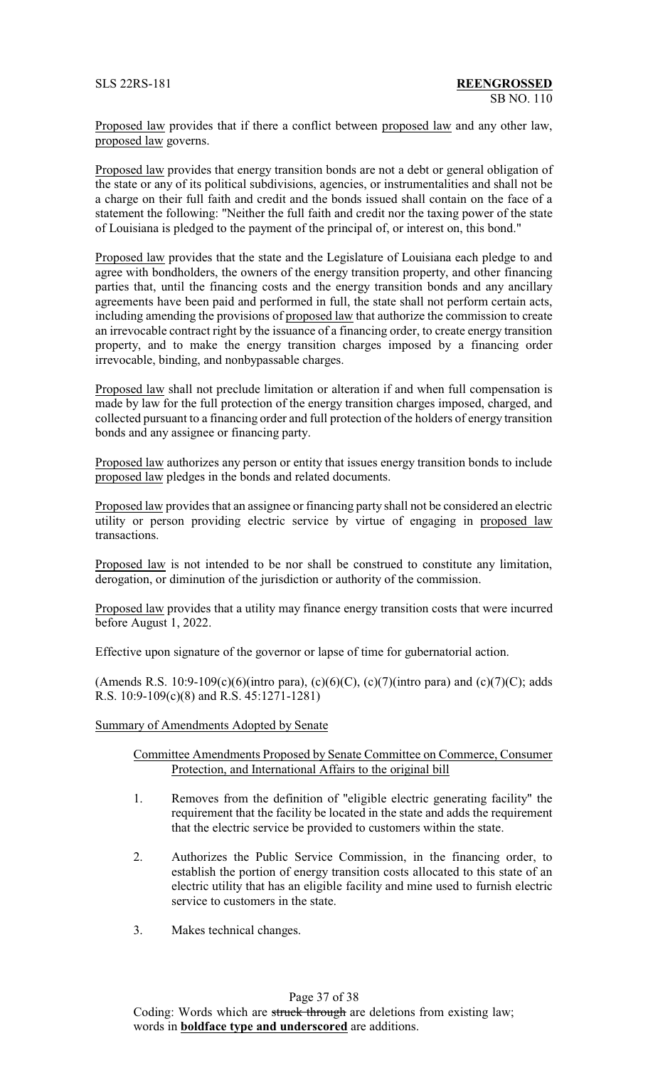Proposed law provides that if there a conflict between proposed law and any other law, proposed law governs.

Proposed law provides that energy transition bonds are not a debt or general obligation of the state or any of its political subdivisions, agencies, or instrumentalities and shall not be a charge on their full faith and credit and the bonds issued shall contain on the face of a statement the following: "Neither the full faith and credit nor the taxing power of the state of Louisiana is pledged to the payment of the principal of, or interest on, this bond."

Proposed law provides that the state and the Legislature of Louisiana each pledge to and agree with bondholders, the owners of the energy transition property, and other financing parties that, until the financing costs and the energy transition bonds and any ancillary agreements have been paid and performed in full, the state shall not perform certain acts, including amending the provisions of proposed law that authorize the commission to create an irrevocable contract right by the issuance of a financing order, to create energy transition property, and to make the energy transition charges imposed by a financing order irrevocable, binding, and nonbypassable charges.

Proposed law shall not preclude limitation or alteration if and when full compensation is made by law for the full protection of the energy transition charges imposed, charged, and collected pursuant to a financing order and full protection of the holders of energy transition bonds and any assignee or financing party.

Proposed law authorizes any person or entity that issues energy transition bonds to include proposed law pledges in the bonds and related documents.

Proposed law provides that an assignee or financing party shall not be considered an electric utility or person providing electric service by virtue of engaging in proposed law transactions.

Proposed law is not intended to be nor shall be construed to constitute any limitation, derogation, or diminution of the jurisdiction or authority of the commission.

Proposed law provides that a utility may finance energy transition costs that were incurred before August 1, 2022.

Effective upon signature of the governor or lapse of time for gubernatorial action.

(Amends R.S. 10:9-109(c)(6)(intro para), (c)(6)(C), (c)(7)(intro para) and (c)(7)(C); adds R.S. 10:9-109(c)(8) and R.S. 45:1271-1281)

#### Summary of Amendments Adopted by Senate

#### Committee Amendments Proposed by Senate Committee on Commerce, Consumer Protection, and International Affairs to the original bill

- 1. Removes from the definition of "eligible electric generating facility" the requirement that the facility be located in the state and adds the requirement that the electric service be provided to customers within the state.
- 2. Authorizes the Public Service Commission, in the financing order, to establish the portion of energy transition costs allocated to this state of an electric utility that has an eligible facility and mine used to furnish electric service to customers in the state.
- 3. Makes technical changes.

#### Page 37 of 38

Coding: Words which are struck through are deletions from existing law; words in **boldface type and underscored** are additions.